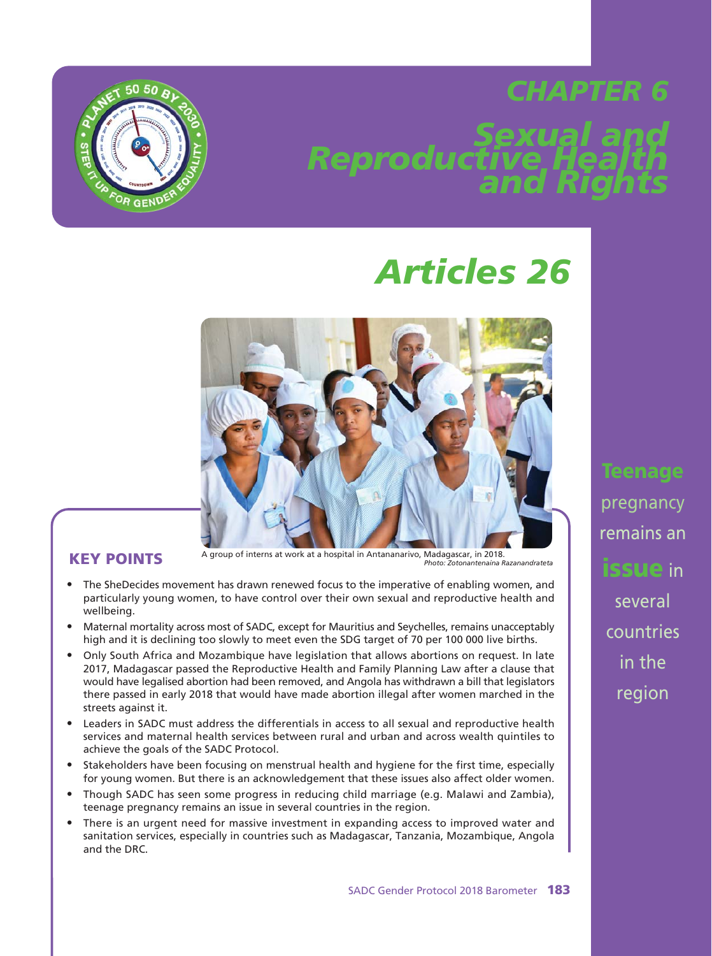# *CHAPTER 6 Sexual and Reproductive Health and Rights*



# *Articles 26*



**KEY POINTS** A group of interns at work at a hospital in Antananarivo, Madagascar, in 2018. *Photo: Zotonantenaina Razanandrateta*

- **•** The SheDecides movement has drawn renewed focus to the imperative of enabling women, and particularly young women, to have control over their own sexual and reproductive health and wellbeing.
- **•** Maternal mortality across most of SADC, except for Mauritius and Seychelles, remains unacceptably high and it is declining too slowly to meet even the SDG target of 70 per 100 000 live births.
- **•** Only South Africa and Mozambique have legislation that allows abortions on request. In late 2017, Madagascar passed the Reproductive Health and Family Planning Law after a clause that would have legalised abortion had been removed, and Angola has withdrawn a bill that legislators there passed in early 2018 that would have made abortion illegal after women marched in the streets against it.
- **•** Leaders in SADC must address the differentials in access to all sexual and reproductive health services and maternal health services between rural and urban and across wealth quintiles to achieve the goals of the SADC Protocol.
- **•** Stakeholders have been focusing on menstrual health and hygiene for the first time, especially for young women. But there is an acknowledgement that these issues also affect older women.
- **•** Though SADC has seen some progress in reducing child marriage (e.g. Malawi and Zambia), teenage pregnancy remains an issue in several countries in the region.
- **•** There is an urgent need for massive investment in expanding access to improved water and sanitation services, especially in countries such as Madagascar, Tanzania, Mozambique, Angola and the DRC.

**Teenage** pregnancy remains an **issue** in several countries in the region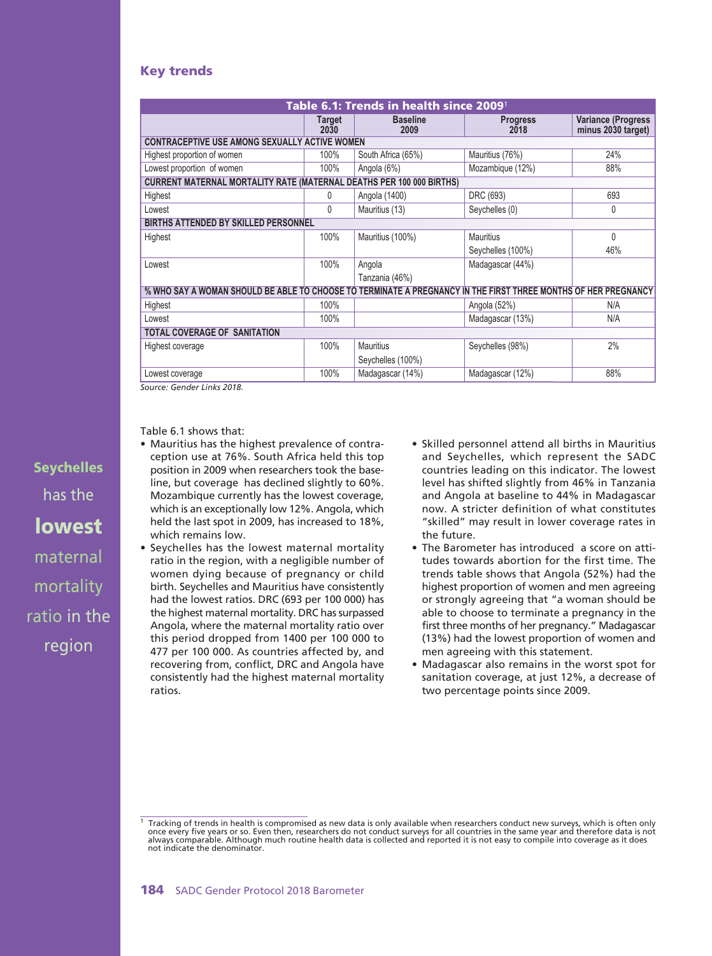#### **Key trends**

| Table 6.1: Trends in health since 2009 <sup>1</sup>                         |                |                         |                                         |                                                 |  |  |  |  |  |  |  |
|-----------------------------------------------------------------------------|----------------|-------------------------|-----------------------------------------|-------------------------------------------------|--|--|--|--|--|--|--|
|                                                                             | Target<br>2030 | <b>Baseline</b><br>2009 | <b>Progress</b><br>2018                 | <b>Variance (Progress</b><br>minus 2030 target) |  |  |  |  |  |  |  |
| <b>CONTRACEPTIVE USE AMONG SEXUALLY ACTIVE WOMEN</b>                        |                |                         |                                         |                                                 |  |  |  |  |  |  |  |
| Highest proportion of women                                                 | 100%           | South Africa (65%)      | Mauritius (76%)                         | 24%                                             |  |  |  |  |  |  |  |
| Lowest proportion of women                                                  | 100%           | Angola (6%)             | Mozambique (12%)                        | 88%                                             |  |  |  |  |  |  |  |
| <b>CURRENT MATERNAL MORTALITY RATE (MATERNAL DEATHS PER 100 000 BIRTHS)</b> |                |                         |                                         |                                                 |  |  |  |  |  |  |  |
| Highest                                                                     | 0              | Angola (1400)           | DRC (693)                               | 693                                             |  |  |  |  |  |  |  |
| Lowest                                                                      | U              | Mauritius (13)          | Seychelles (0)                          | 0                                               |  |  |  |  |  |  |  |
| <b>BIRTHS ATTENDED BY SKILLED PERSONNEL</b>                                 |                |                         |                                         |                                                 |  |  |  |  |  |  |  |
| Highest                                                                     | 100%           | Mauritius (100%)        | <b>Mauritius</b>                        | 0                                               |  |  |  |  |  |  |  |
|                                                                             |                |                         | Seychelles (100%)                       | 46%                                             |  |  |  |  |  |  |  |
| Lowest                                                                      | 100%           | Angola                  | Madagascar (44%)                        |                                                 |  |  |  |  |  |  |  |
|                                                                             |                | Tanzania (46%)          |                                         |                                                 |  |  |  |  |  |  |  |
| % WHO SAY A WOMAN SHOULD BE ABLE TO CHOOSE TO TERMINATE                     |                | <b>PREGNANC</b>         | THE FIRST THREE MONTHS OF HER PREGNANCY |                                                 |  |  |  |  |  |  |  |
| Highest                                                                     | 100%           |                         | Angola (52%)                            | N/A                                             |  |  |  |  |  |  |  |
| Lowest                                                                      | 100%           |                         | Madagascar (13%)                        | N/A                                             |  |  |  |  |  |  |  |
| <b>TOTAL COVERAGE OF SANITATION</b>                                         |                |                         |                                         |                                                 |  |  |  |  |  |  |  |
| Highest coverage                                                            | 100%           | <b>Mauritius</b>        | Seychelles (98%)                        | 2%                                              |  |  |  |  |  |  |  |
|                                                                             |                | Seychelles (100%)       |                                         |                                                 |  |  |  |  |  |  |  |
| Lowest coverage                                                             | 100%           | Madagascar (14%)        | Madagascar (12%)                        | 88%                                             |  |  |  |  |  |  |  |

*Source: Gender Links 2018.*

Table 6.1 shows that:

- Mauritius has the highest prevalence of contraception use at 76%. South Africa held this top position in 2009 when researchers took the baseline, but coverage has declined slightly to 60%. Mozambique currently has the lowest coverage, which is an exceptionally low 12%. Angola, which held the last spot in 2009, has increased to 18%, which remains low.
- Seychelles has the lowest maternal mortality ratio in the region, with a negligible number of women dying because of pregnancy or child birth. Seychelles and Mauritius have consistently had the lowest ratios. DRC (693 per 100 000) has the highest maternal mortality. DRC has surpassed Angola, where the maternal mortality ratio over this period dropped from 1400 per 100 000 to 477 per 100 000. As countries affected by, and recovering from, conflict, DRC and Angola have consistently had the highest maternal mortality ratios.
- Skilled personnel attend all births in Mauritius and Seychelles, which represent the SADC countries leading on this indicator. The lowest level has shifted slightly from 46% in Tanzania and Angola at baseline to 44% in Madagascar now. A stricter definition of what constitutes "skilled" may result in lower coverage rates in the future.
- The Barometer has introduced a score on attitudes towards abortion for the first time. The trends table shows that Angola (52%) had the highest proportion of women and men agreeing or strongly agreeing that "a woman should be able to choose to terminate a pregnancy in the first three months of her pregnancy." Madagascar (13%) had the lowest proportion of women and men agreeing with this statement.
- Madagascar also remains in the worst spot for sanitation coverage, at just 12%, a decrease of two percentage points since 2009.

**Seychelles** has the **lowest** maternal mortality ratio in the region

 $1$  Tracking of trends in health is compromised as new data is only available when researchers conduct new surveys, which is often only once every five years or so. Even then, researchers do not conduct surveys for all countries in the same year and therefore data is not<br>always comparable. Although much routine health data is collected and reported it is n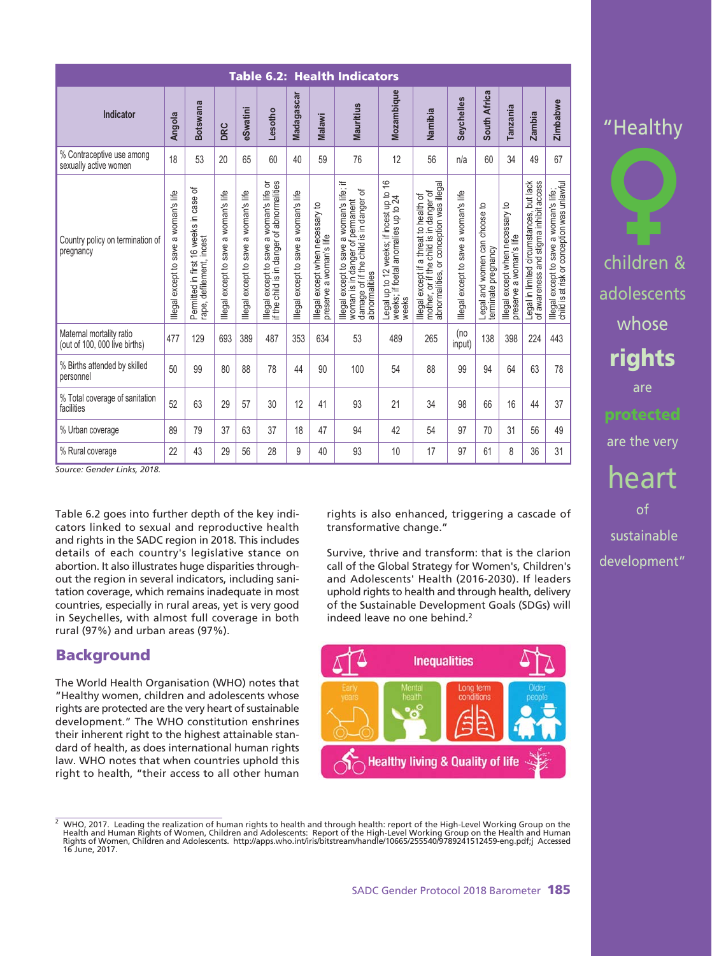| <b>Table 6.2: Health Indicators</b>                       |                                       |                                                                    |                                       |                                       |                                                                                        |                                         |                                                             |                                                                                                                                         |                                                                                                        |                                                                                                                                  |                                       |                                                      |                                                             |                                                                                         |                                                                                       |
|-----------------------------------------------------------|---------------------------------------|--------------------------------------------------------------------|---------------------------------------|---------------------------------------|----------------------------------------------------------------------------------------|-----------------------------------------|-------------------------------------------------------------|-----------------------------------------------------------------------------------------------------------------------------------------|--------------------------------------------------------------------------------------------------------|----------------------------------------------------------------------------------------------------------------------------------|---------------------------------------|------------------------------------------------------|-------------------------------------------------------------|-----------------------------------------------------------------------------------------|---------------------------------------------------------------------------------------|
| Indicator                                                 | <b>Angola</b>                         | <b>Botswana</b>                                                    | DRC                                   | eSwatini                              | Lesotho                                                                                | Madagascar                              | <b>Malawi</b>                                               | Mauritius                                                                                                                               | Mozambique                                                                                             | Namibia                                                                                                                          | Seychelles                            | South Africa                                         | Tanzania                                                    | <b>Zambia</b>                                                                           | Zimbabwe                                                                              |
| % Contraceptive use among<br>sexually active women        | 18                                    | 53                                                                 | 20                                    | 65                                    | 60                                                                                     | 40                                      | 59                                                          | 76                                                                                                                                      | 12                                                                                                     | 56                                                                                                                               | n/a                                   | 60                                                   | 34                                                          | 49                                                                                      | 67                                                                                    |
| Country policy on termination of<br>pregnancy             | Illegal except to save a woman's life | Permitted in first 16 weeks in case of<br>rape, defilement, incest | lllegal except to save a woman's life | Illegal except to save a woman's life | Illegal except to save a woman's life or<br>if the child is in danger of abnormalities | a woman's life<br>llegal except to save | Illegal except when necessary to<br>preserve a woman's life | Illegal except to save a woman's life; if<br>woman is in danger of permanent<br>damage of if the child is in danger of<br>abnormalities | $\frac{6}{5}$<br>Legal up to 12 weeks; if incest up to<br>weeks; if foetal anomalies up to 24<br>weeks | mother, or if the child is in danger of<br>abnormalities, or conception was illegal<br>except if a threat to health of<br>llegal | lllegal except to save a woman's life | Legal and women can choose to<br>terminate pregnancy | Illegal except when necessary to<br>preserve a woman's life | but lack<br>awareness and stigma inhibit access<br>Legal in limited circumstances,<br>đ | lllegal except to save a woman's life;<br>child is at risk or conception was unlawful |
| Maternal mortality ratio<br>(out of 100, 000 live births) | 477                                   | 129                                                                | 693                                   | 389                                   | 487                                                                                    | 353                                     | 634                                                         | 53                                                                                                                                      | 489                                                                                                    | 265                                                                                                                              | (no<br>input)                         | 138                                                  | 398                                                         | 224                                                                                     | 443                                                                                   |
| % Births attended by skilled<br>personnel                 | 50                                    | 99                                                                 | 80                                    | 88                                    | 78                                                                                     | 44                                      | 90                                                          | 100                                                                                                                                     | 54                                                                                                     | 88                                                                                                                               | 99                                    | 94                                                   | 64                                                          | 63                                                                                      | 78                                                                                    |
| % Total coverage of sanitation<br>facilities              | 52                                    | 63                                                                 | 29                                    | 57                                    | 30                                                                                     | 12                                      | 41                                                          | 93                                                                                                                                      | 21                                                                                                     | 34                                                                                                                               | 98                                    | 66                                                   | 16                                                          | 44                                                                                      | 37                                                                                    |
| % Urban coverage                                          | 89                                    | 79                                                                 | 37                                    | 63                                    | 37                                                                                     | 18                                      | 47                                                          | 94                                                                                                                                      | 42                                                                                                     | 54                                                                                                                               | 97                                    | 70                                                   | 31                                                          | 56                                                                                      | 49                                                                                    |
| % Rural coverage                                          | 22                                    | 43                                                                 | 29                                    | 56                                    | 28                                                                                     | 9                                       | 40                                                          | 93                                                                                                                                      | 10                                                                                                     | 17                                                                                                                               | 97                                    | 61                                                   | 8                                                           | 36                                                                                      | 31                                                                                    |

*Source: Gender Links, 2018.*

Table 6.2 goes into further depth of the key indicators linked to sexual and reproductive health and rights in the SADC region in 2018. This includes details of each country's legislative stance on abortion. It also illustrates huge disparities throughout the region in several indicators, including sanitation coverage, which remains inadequate in most countries, especially in rural areas, yet is very good in Seychelles, with almost full coverage in both rural (97%) and urban areas (97%).

### **Background**

The World Health Organisation (WHO) notes that "Healthy women, children and adolescents whose rights are protected are the very heart of sustainable development." The WHO constitution enshrines their inherent right to the highest attainable standard of health, as does international human rights law. WHO notes that when countries uphold this right to health, "their access to all other human

rights is also enhanced, triggering a cascade of transformative change."

Survive, thrive and transform: that is the clarion call of the Global Strategy for Women's, Children's and Adolescents' Health (2016-2030). If leaders uphold rights to health and through health, delivery of the Sustainable Development Goals (SDGs) will indeed leave no one behind.<sup>2</sup>



<sup>2</sup> WHO, 2017. Leading the realization of human rights to health and through health: report of the High-Level Working Group on the<br>Health and Human Rights of Women, Children and Adolescents: Report of the High-Level Workin 16 June, 2017.



"Healthy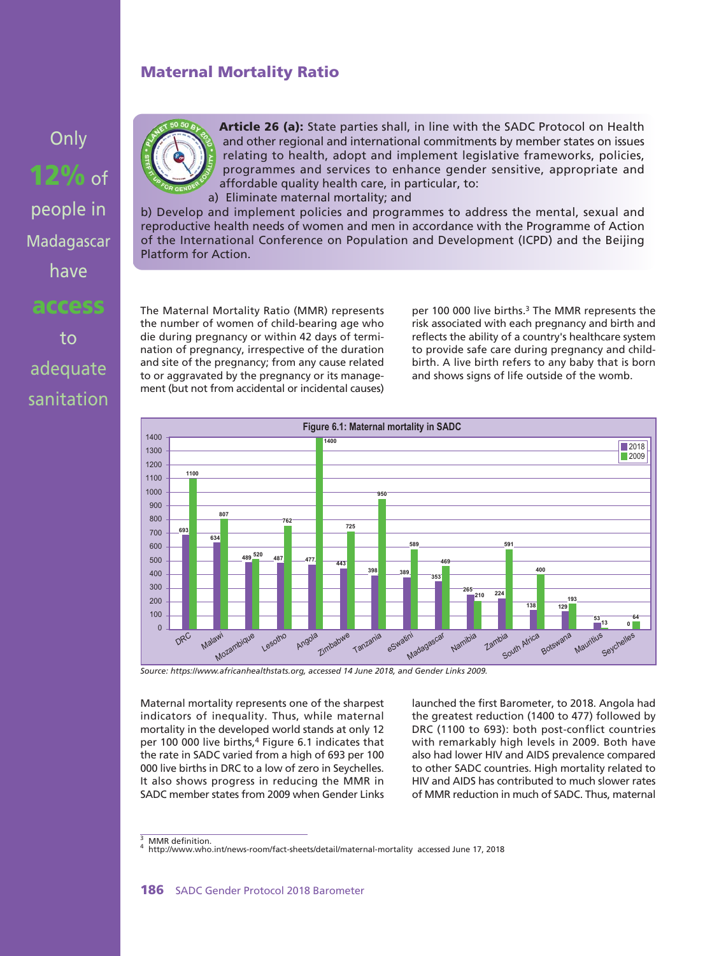## **Maternal Mortality Ratio**



adequate sanitation



**Article 26 (a):** State parties shall, in line with the SADC Protocol on Health and other regional and international commitments by member states on issues relating to health, adopt and implement legislative frameworks, policies, programmes and services to enhance gender sensitive, appropriate and affordable quality health care, in particular, to: a) Eliminate maternal mortality; and

b) Develop and implement policies and programmes to address the mental, sexual and reproductive health needs of women and men in accordance with the Programme of Action of the International Conference on Population and Development (ICPD) and the Beijing Platform for Action.

The Maternal Mortality Ratio (MMR) represents the number of women of child-bearing age who die during pregnancy or within 42 days of termination of pregnancy, irrespective of the duration and site of the pregnancy; from any cause related to or aggravated by the pregnancy or its management (but not from accidental or incidental causes)

per 100 000 live births.3 The MMR represents the risk associated with each pregnancy and birth and reflects the ability of a country's healthcare system to provide safe care during pregnancy and childbirth. A live birth refers to any baby that is born and shows signs of life outside of the womb.



*Source: https://www.africanhealthstats.org, accessed 14 June 2018, and Gender Links 2009.*

Maternal mortality represents one of the sharpest indicators of inequality. Thus, while maternal mortality in the developed world stands at only 12 per 100 000 live births,4 Figure 6.1 indicates that the rate in SADC varied from a high of 693 per 100 000 live births in DRC to a low of zero in Seychelles. It also shows progress in reducing the MMR in SADC member states from 2009 when Gender Links

launched the first Barometer, to 2018. Angola had the greatest reduction (1400 to 477) followed by DRC (1100 to 693): both post-conflict countries with remarkably high levels in 2009. Both have also had lower HIV and AIDS prevalence compared to other SADC countries. High mortality related to HIV and AIDS has contributed to much slower rates of MMR reduction in much of SADC. Thus, maternal

<sup>&</sup>lt;sup>3</sup> MMR definition.<br><sup>4</sup> http://www.who.int/news-room/fact-sheets/detail/maternal-mortality accessed June 17, 2018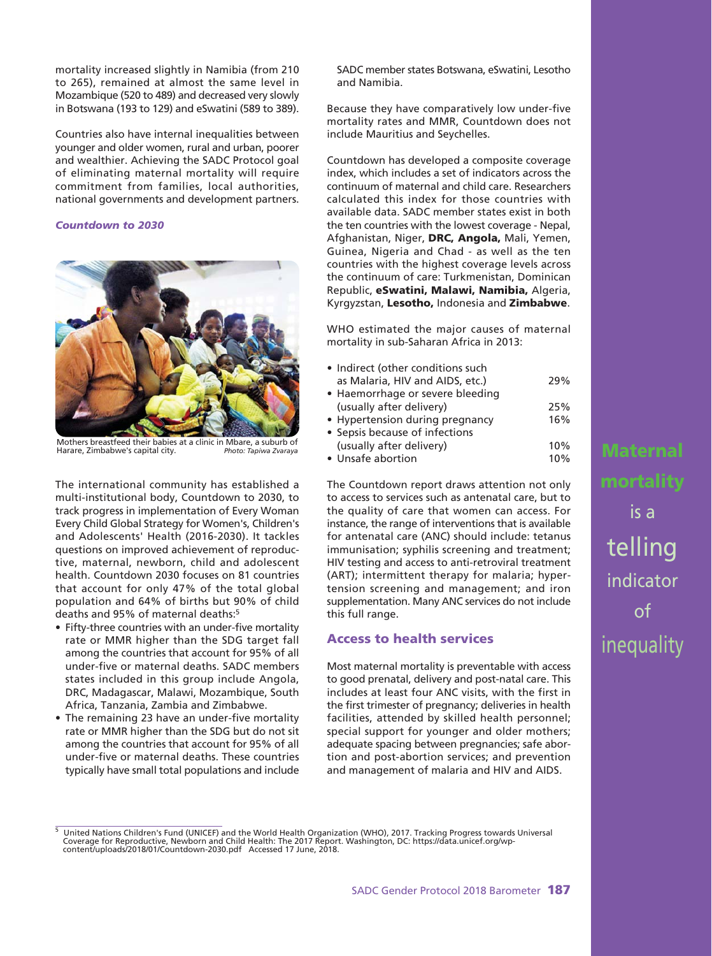mortality increased slightly in Namibia (from 210 to 265), remained at almost the same level in Mozambique (520 to 489) and decreased very slowly in Botswana (193 to 129) and eSwatini (589 to 389).

Countries also have internal inequalities between younger and older women, rural and urban, poorer and wealthier. Achieving the SADC Protocol goal of eliminating maternal mortality will require commitment from families, local authorities, national governments and development partners.

#### *Countdown to 2030*



Mothers breastfeed their babies at a clinic in Mbare, a suburb of Harare. Zimbabwe's capital city. Harare, Zimbabwe's capital city. *Photo: Tapiwa Zvaraya*

The international community has established a multi-institutional body, Countdown to 2030, to track progress in implementation of Every Woman Every Child Global Strategy for Women's, Children's and Adolescents' Health (2016-2030). It tackles questions on improved achievement of reproductive, maternal, newborn, child and adolescent health. Countdown 2030 focuses on 81 countries that account for only 47% of the total global population and 64% of births but 90% of child deaths and 95% of maternal deaths:5

- Fifty-three countries with an under-five mortality rate or MMR higher than the SDG target fall among the countries that account for 95% of all under-five or maternal deaths. SADC members states included in this group include Angola, DRC, Madagascar, Malawi, Mozambique, South Africa, Tanzania, Zambia and Zimbabwe.
- The remaining 23 have an under-five mortality rate or MMR higher than the SDG but do not sit among the countries that account for 95% of all under-five or maternal deaths. These countries typically have small total populations and include

SADC member states Botswana, eSwatini, Lesotho and Namibia.

Because they have comparatively low under-five mortality rates and MMR, Countdown does not include Mauritius and Seychelles.

Countdown has developed a composite coverage index, which includes a set of indicators across the continuum of maternal and child care. Researchers calculated this index for those countries with available data. SADC member states exist in both the ten countries with the lowest coverage - Nepal, Afghanistan, Niger, **DRC, Angola,** Mali, Yemen, Guinea, Nigeria and Chad - as well as the ten countries with the highest coverage levels across the continuum of care: Turkmenistan, Dominican Republic, **eSwatini, Malawi, Namibia,** Algeria, Kyrgyzstan, **Lesotho,** Indonesia and **Zimbabwe**.

WHO estimated the major causes of maternal mortality in sub-Saharan Africa in 2013:

| • Indirect (other conditions such |     |
|-----------------------------------|-----|
| as Malaria, HIV and AIDS, etc.)   | 29% |
| • Haemorrhage or severe bleeding  |     |
| (usually after delivery)          | 25% |
| • Hypertension during pregnancy   | 16% |
| • Sepsis because of infections    |     |
| (usually after delivery)          | 10% |
| • Unsafe abortion                 | 10% |
|                                   |     |

The Countdown report draws attention not only to access to services such as antenatal care, but to the quality of care that women can access. For instance, the range of interventions that is available for antenatal care (ANC) should include: tetanus immunisation; syphilis screening and treatment; HIV testing and access to anti-retroviral treatment (ART); intermittent therapy for malaria; hypertension screening and management; and iron supplementation. Many ANC services do not include this full range.

#### **Access to health services**

Most maternal mortality is preventable with access to good prenatal, delivery and post-natal care. This includes at least four ANC visits, with the first in the first trimester of pregnancy; deliveries in health facilities, attended by skilled health personnel; special support for younger and older mothers; adequate spacing between pregnancies; safe abortion and post-abortion services; and prevention and management of malaria and HIV and AIDS.

**Maternal mortality** is a telling indicator of **inequality** 

<sup>5</sup> United Nations Children's Fund (UNICEF) and the World Health Organization (WHO), 2017. Tracking Progress towards Universal Coverage for Reproductive, Newborn and Child Health: The 2017 Report. Washington, DC: https://data.unicef.org/wpcontent/uploads/2018/01/Countdown-2030.pdf Accessed 17 June, 2018.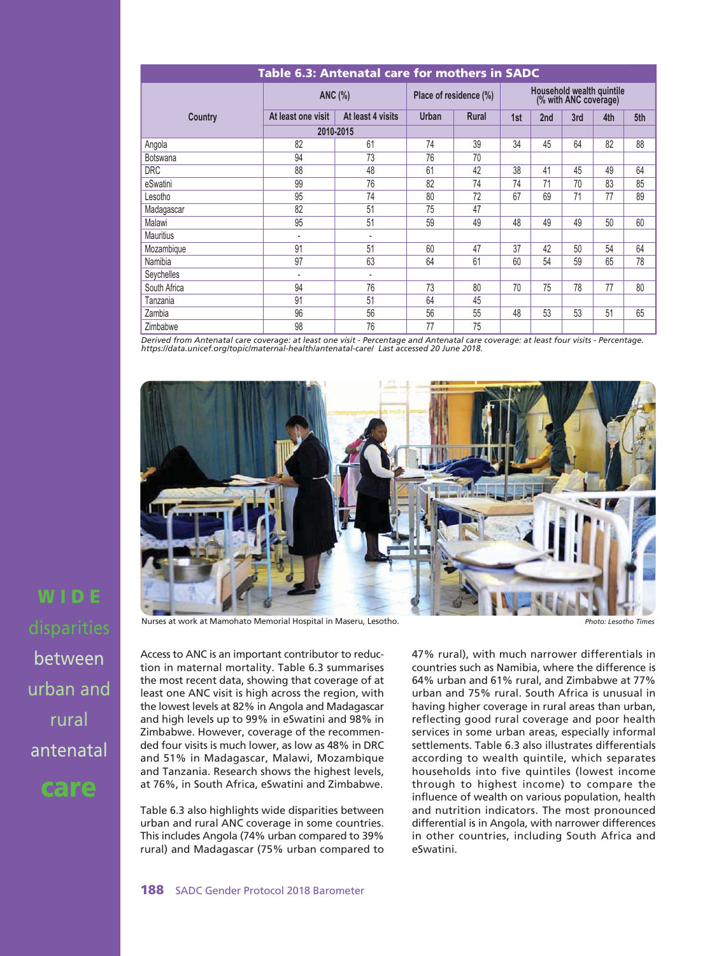| Table 6.3: Antenatal care for mothers in SADC |                    |                   |              |                        |                                                    |     |     |     |     |  |  |
|-----------------------------------------------|--------------------|-------------------|--------------|------------------------|----------------------------------------------------|-----|-----|-----|-----|--|--|
|                                               | ANC (%)            |                   |              | Place of residence (%) | Household wealth quintile<br>(% with ANC coverage) |     |     |     |     |  |  |
| Country                                       | At least one visit | At least 4 visits | <b>Urban</b> | <b>Rural</b>           | 1st                                                | 2nd | 3rd | 4th | 5th |  |  |
|                                               | 2010-2015          |                   |              |                        |                                                    |     |     |     |     |  |  |
| Angola                                        | 82                 | 61                | 74           | 39                     | 34                                                 | 45  | 64  | 82  | 88  |  |  |
| <b>Botswana</b>                               | 94                 | 73                | 76           | 70                     |                                                    |     |     |     |     |  |  |
| <b>DRC</b>                                    | 88                 | 48                | 61           | 42                     | 38                                                 | 41  | 45  | 49  | 64  |  |  |
| eSwatini                                      | 99                 | 76                | 82           | 74                     | 74                                                 | 71  | 70  | 83  | 85  |  |  |
| Lesotho                                       | 95                 | 74                |              | 72                     | 67                                                 | 69  | 71  | 77  | 89  |  |  |
| Madagascar                                    | 82                 | 51                | 75           | 47                     |                                                    |     |     |     |     |  |  |
| Malawi                                        | 95                 | 51                | 59           | 49                     | 48                                                 | 49  | 49  | 50  | 60  |  |  |
| <b>Mauritius</b>                              | ٠                  | $\blacksquare$    |              |                        |                                                    |     |     |     |     |  |  |
| Mozambique                                    | 91                 | 51                | 60           | 47                     | 37                                                 | 42  | 50  | 54  | 64  |  |  |
| Namibia                                       | 97                 | 63                | 64           | 61                     | 60                                                 | 54  | 59  | 65  | 78  |  |  |
| Seychelles                                    | ٠                  | $\blacksquare$    |              |                        |                                                    |     |     |     |     |  |  |
| South Africa                                  | 94                 | 76                | 73           | 80                     | 70                                                 | 75  | 78  | 77  | 80  |  |  |
| Tanzania                                      | 91                 | 51                | 64           | 45                     |                                                    |     |     |     |     |  |  |
| Zambia                                        | 96                 | 56                | 56           | 55                     | 48                                                 | 53  | 53  | 51  | 65  |  |  |
| Zimbabwe                                      | 98                 | 76                | 77           | 75                     |                                                    |     |     |     |     |  |  |

*Derived from Antenatal care coverage: at least one visit - Percentage and Antenatal care coverage: at least four visits - Percentage. https://data.unicef.org/topic/maternal-health/antenatal-care/ Last accessed 20 June 2018.*



**W I D E** between urban and rural antenatal **care**

Nurses at work at Mamohato Memorial Hospital in Maseru, Lesotho. *Photo: Lesotho Times*

Access to ANC is an important contributor to reduction in maternal mortality. Table 6.3 summarises the most recent data, showing that coverage of at least one ANC visit is high across the region, with the lowest levels at 82% in Angola and Madagascar and high levels up to 99% in eSwatini and 98% in Zimbabwe. However, coverage of the recommended four visits is much lower, as low as 48% in DRC and 51% in Madagascar, Malawi, Mozambique and Tanzania. Research shows the highest levels, at 76%, in South Africa, eSwatini and Zimbabwe.

Table 6.3 also highlights wide disparities between urban and rural ANC coverage in some countries. This includes Angola (74% urban compared to 39% rural) and Madagascar (75% urban compared to 47% rural), with much narrower differentials in countries such as Namibia, where the difference is 64% urban and 61% rural, and Zimbabwe at 77% urban and 75% rural. South Africa is unusual in having higher coverage in rural areas than urban, reflecting good rural coverage and poor health services in some urban areas, especially informal settlements. Table 6.3 also illustrates differentials according to wealth quintile, which separates households into five quintiles (lowest income through to highest income) to compare the influence of wealth on various population, health and nutrition indicators. The most pronounced differential is in Angola, with narrower differences in other countries, including South Africa and eSwatini.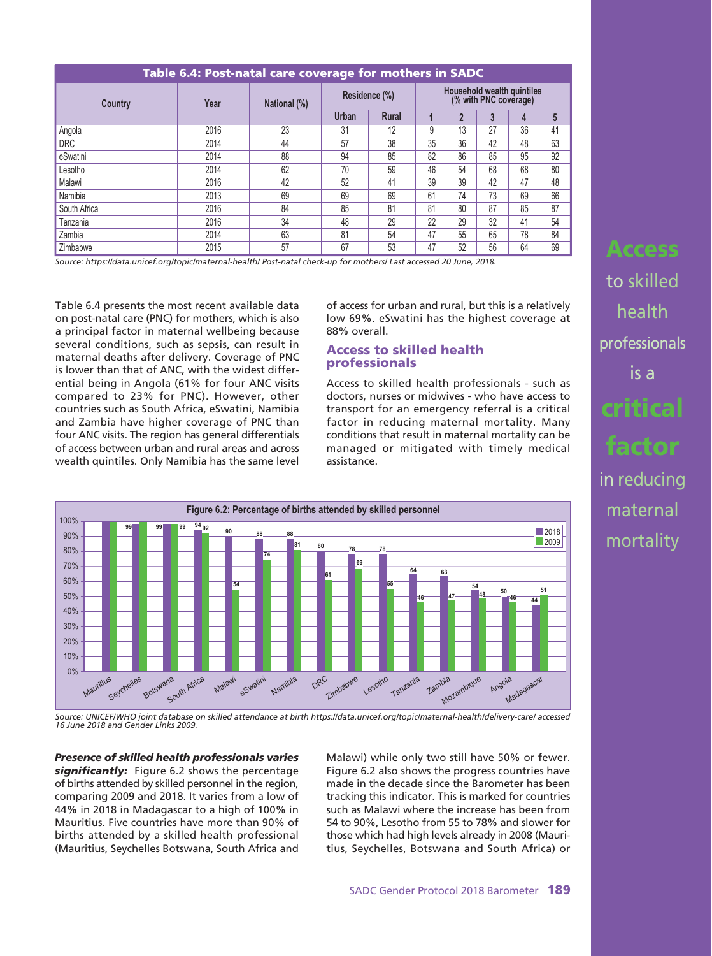| Table 6.4: Post-natal care coverage for mothers in SADC |      |              |       |               |                                                     |              |    |    |    |  |  |
|---------------------------------------------------------|------|--------------|-------|---------------|-----------------------------------------------------|--------------|----|----|----|--|--|
| Country                                                 | Year | National (%) |       | Residence (%) | Household wealth quintiles<br>(% with PNC coverage) |              |    |    |    |  |  |
|                                                         |      |              | Urban | <b>Rural</b>  |                                                     | $\mathbf{2}$ | 3  | 4  | 5  |  |  |
| Angola                                                  | 2016 | 23           | 31    | 12            | 9                                                   | 13           | 27 | 36 | 41 |  |  |
| <b>DRC</b>                                              | 2014 | 44           | 57    | 38            | 35                                                  | 36           | 42 | 48 | 63 |  |  |
| eSwatini                                                | 2014 | 88           | 94    | 85            | 82                                                  | 86           | 85 | 95 | 92 |  |  |
| Lesotho                                                 | 2014 | 62           | 70    | 59            | 46                                                  | 54           | 68 | 68 | 80 |  |  |
| Malawi                                                  | 2016 | 42           | 52    | 41            | 39                                                  | 39           | 42 | 47 | 48 |  |  |
| Namibia                                                 | 2013 | 69           | 69    | 69            | 61                                                  | 74           | 73 | 69 | 66 |  |  |
| South Africa                                            | 2016 | 84           | 85    | 81            | 81                                                  | 80           | 87 | 85 | 87 |  |  |
| Tanzania                                                | 2016 | 34           | 48    | 29            | 22                                                  | 29           | 32 | 41 | 54 |  |  |
| Zambia                                                  | 2014 | 63           | 81    | 54            | 47                                                  | 55           | 65 | 78 | 84 |  |  |
| Zimbabwe                                                | 2015 | 57           | 67    | 53            | 47                                                  | 52           | 56 | 64 | 69 |  |  |

*Source: https://data.unicef.org/topic/maternal-health/ Post-natal check-up for mothers/ Last accessed 20 June, 2018.*

Table 6.4 presents the most recent available data on post-natal care (PNC) for mothers, which is also a principal factor in maternal wellbeing because several conditions, such as sepsis, can result in maternal deaths after delivery. Coverage of PNC is lower than that of ANC, with the widest differential being in Angola (61% for four ANC visits compared to 23% for PNC). However, other countries such as South Africa, eSwatini, Namibia and Zambia have higher coverage of PNC than four ANC visits. The region has general differentials of access between urban and rural areas and across wealth quintiles. Only Namibia has the same level of access for urban and rural, but this is a relatively low 69%. eSwatini has the highest coverage at 88% overall.

#### **Access to skilled health professionals**

Access to skilled health professionals - such as doctors, nurses or midwives - who have access to transport for an emergency referral is a critical factor in reducing maternal mortality. Many conditions that result in maternal mortality can be managed or mitigated with timely medical assistance.



*Source: UNICEF/WHO joint database on skilled attendance at birth https://data.unicef.org/topic/maternal-health/delivery-care/ accessed 16 June 2018 and Gender Links 2009.*

*Presence of skilled health professionals varies significantly:* Figure 6.2 shows the percentage of births attended by skilled personnel in the region, comparing 2009 and 2018. It varies from a low of 44% in 2018 in Madagascar to a high of 100% in Mauritius. Five countries have more than 90% of births attended by a skilled health professional (Mauritius, Seychelles Botswana, South Africa and Malawi) while only two still have 50% or fewer. Figure 6.2 also shows the progress countries have made in the decade since the Barometer has been tracking this indicator. This is marked for countries such as Malawi where the increase has been from 54 to 90%, Lesotho from 55 to 78% and slower for those which had high levels already in 2008 (Mauritius, Seychelles, Botswana and South Africa) or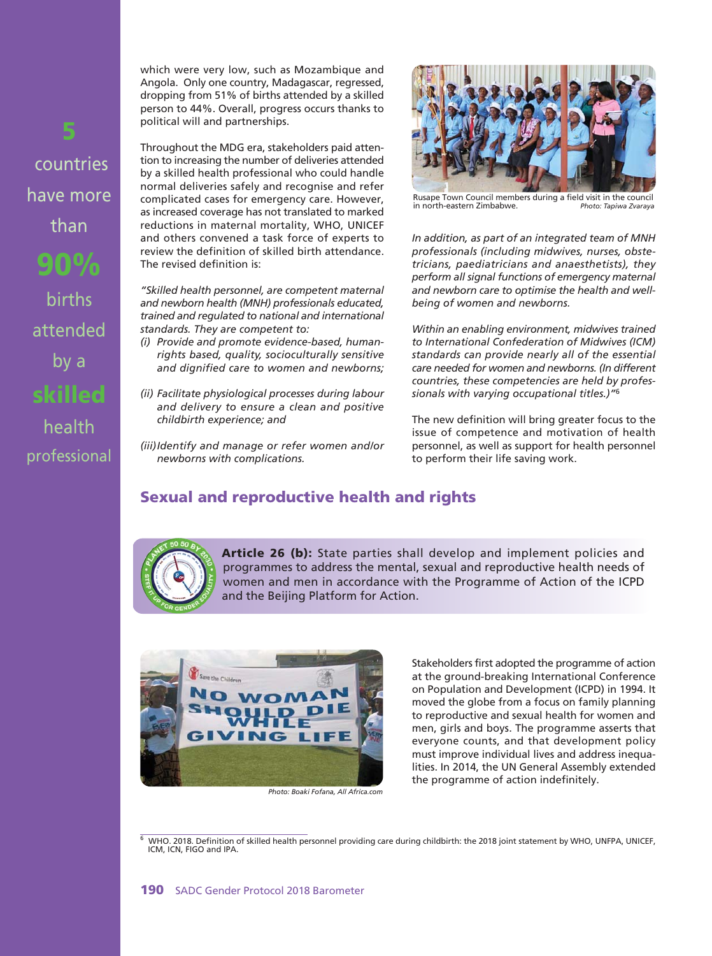countries have more than **90%** births attended

**5**

by a

**skilled** health

professional

which were very low, such as Mozambique and Angola. Only one country, Madagascar, regressed, dropping from 51% of births attended by a skilled person to 44%. Overall, progress occurs thanks to political will and partnerships.

Throughout the MDG era, stakeholders paid attention to increasing the number of deliveries attended by a skilled health professional who could handle normal deliveries safely and recognise and refer complicated cases for emergency care. However, as increased coverage has not translated to marked reductions in maternal mortality, WHO, UNICEF and others convened a task force of experts to review the definition of skilled birth attendance. The revised definition is:

*"Skilled health personnel, are competent maternal and newborn health (MNH) professionals educated, trained and regulated to national and international standards. They are competent to:*

- *(i) Provide and promote evidence-based, humanrights based, quality, socioculturally sensitive and dignified care to women and newborns;*
- *(ii) Facilitate physiological processes during labour and delivery to ensure a clean and positive childbirth experience; and*

*(iii)Identify and manage or refer women and/or newborns with complications.*

# **Sexual and reproductive health and rights**



**Article 26 (b):** State parties shall develop and implement policies and programmes to address the mental, sexual and reproductive health needs of women and men in accordance with the Programme of Action of the ICPD and the Beijing Platform for Action.



*Photo: Boaki Fofana, All Africa.com*

Stakeholders first adopted the programme of action at the ground-breaking International Conference on Population and Development (ICPD) in 1994. It moved the globe from a focus on family planning to reproductive and sexual health for women and men, girls and boys. The programme asserts that everyone counts, and that development policy must improve individual lives and address inequalities. In 2014, the UN General Assembly extended the programme of action indefinitely.



Rusape Town Council members during a field visit in the council<br>in north-eastern Zimbabwe.<br>*Photo: Tapiwa Zyaraya* in north-eastern Zimbabwe. *Photo: Tapiwa Zvaraya*

*In addition, as part of an integrated team of MNH professionals (including midwives, nurses, obstetricians, paediatricians and anaesthetists), they perform all signal functions of emergency maternal and newborn care to optimise the health and wellbeing of women and newborns.*

*Within an enabling environment, midwives trained to International Confederation of Midwives (ICM) standards can provide nearly all of the essential care needed for women and newborns. (In different countries, these competencies are held by professionals with varying occupational titles.)"*<sup>6</sup>

The new definition will bring greater focus to the issue of competence and motivation of health personnel, as well as support for health personnel to perform their life saving work.

<sup>6</sup> WHO. 2018. Definition of skilled health personnel providing care during childbirth: the 2018 joint statement by WHO, UNFPA, UNICEF, ICM, ICN, FIGO and IPA.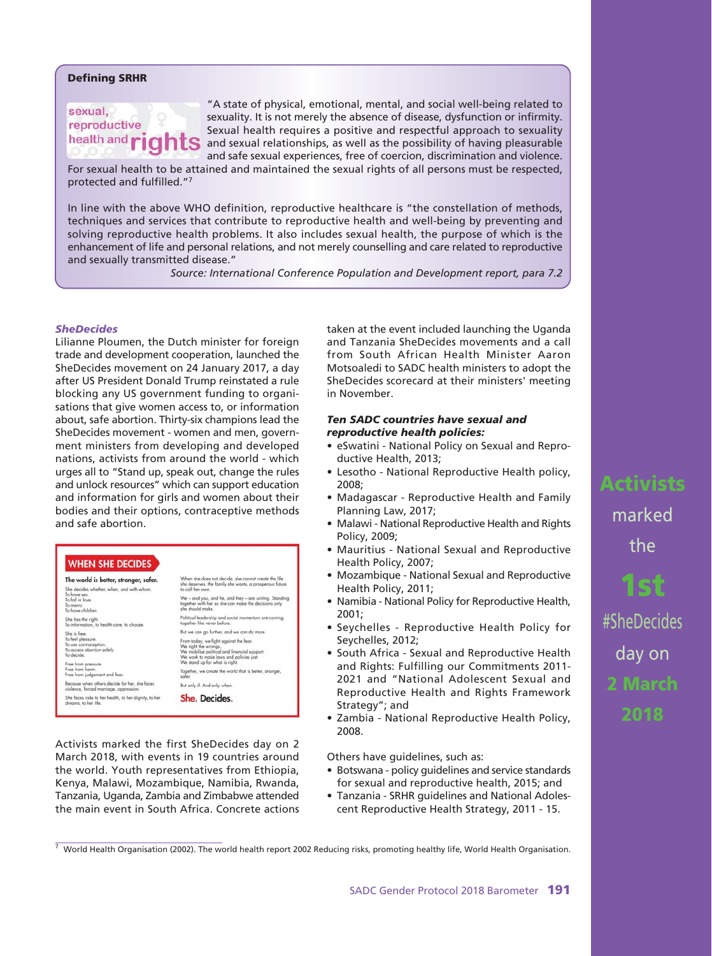#### **Defining SRHR**



"A state of physical, emotional, mental, and social well-being related to sexuality. It is not merely the absence of disease, dysfunction or infirmity. Sexual health requires a positive and respectful approach to sexuality and sexual relationships, as well as the possibility of having pleasurable and safe sexual experiences, free of coercion, discrimination and violence.

For sexual health to be attained and maintained the sexual rights of all persons must be respected, protected and fulfilled."7

In line with the above WHO definition, reproductive healthcare is "the constellation of methods, techniques and services that contribute to reproductive health and well-being by preventing and solving reproductive health problems. It also includes sexual health, the purpose of which is the enhancement of life and personal relations, and not merely counselling and care related to reproductive and sexually transmitted disease."

*Source: International Conference Population and Development report, para 7.2*

#### *SheDecides*

Lilianne Ploumen, the Dutch minister for foreign trade and development cooperation, launched the SheDecides movement on 24 January 2017, a day after US President Donald Trump reinstated a rule blocking any US government funding to organisations that give women access to, or information about, safe abortion. Thirty-six champions lead the SheDecides movement - women and men, government ministers from developing and developed nations, activists from around the world - which urges all to "Stand up, speak out, change the rules and unlock resources" which can support education and information for girls and women about their bodies and their options, contraceptive methods and safe abortion.



Activists marked the first SheDecides day on 2 March 2018, with events in 19 countries around the world. Youth representatives from Ethiopia, Kenya, Malawi, Mozambique, Namibia, Rwanda, Tanzania, Uganda, Zambia and Zimbabwe attended the main event in South Africa. Concrete actions taken at the event included launching the Uganda and Tanzania SheDecides movements and a call from South African Health Minister Aaron Motsoaledi to SADC health ministers to adopt the SheDecides scorecard at their ministers' meeting in November.

#### *Ten SADC countries have sexual and reproductive health policies:*

- eSwatini National Policy on Sexual and Reproductive Health, 2013;
- Lesotho National Reproductive Health policy,  $2008$
- Madagascar Reproductive Health and Family Planning Law, 2017;
- Malawi National Reproductive Health and Rights Policy, 2009;
- Mauritius National Sexual and Reproductive Health Policy, 2007;
- Mozambique National Sexual and Reproductive Health Policy, 2011;
- Namibia National Policy for Reproductive Health, 2001;
- Seychelles Reproductive Health Policy for Seychelles, 2012;
- South Africa Sexual and Reproductive Health and Rights: Fulfilling our Commitments 2011- 2021 and "National Adolescent Sexual and Reproductive Health and Rights Framework Strategy"; and
- Zambia National Reproductive Health Policy, 2008.

Others have guidelines, such as:

- Botswana policy guidelines and service standards for sexual and reproductive health, 2015; and
- Tanzania SRHR guidelines and National Adolescent Reproductive Health Strategy, 2011 - 15.

# **Activists**

marked the

**1st** #SheDecides day on **2 March 2018**

 $\frac{1}{7}$  World Health Organisation (2002). The world health report 2002 Reducing risks, promoting healthy life, World Health Organisation.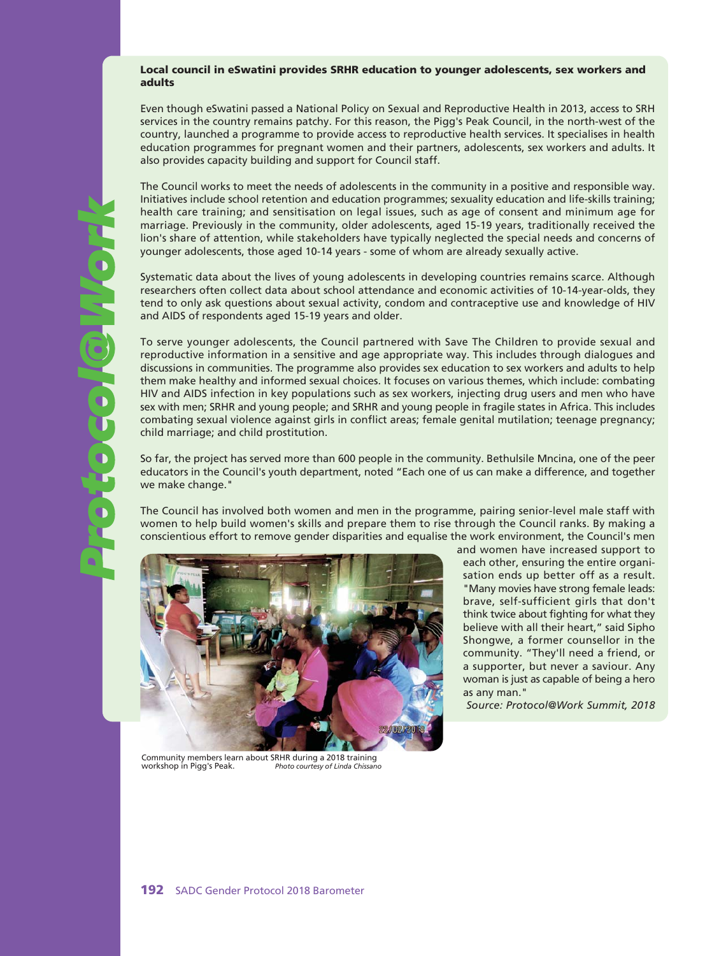#### **Local council in eSwatini provides SRHR education to younger adolescents, sex workers and adults**

Even though eSwatini passed a National Policy on Sexual and Reproductive Health in 2013, access to SRH services in the country remains patchy. For this reason, the Pigg's Peak Council, in the north-west of the country, launched a programme to provide access to reproductive health services. It specialises in health education programmes for pregnant women and their partners, adolescents, sex workers and adults. It also provides capacity building and support for Council staff.

The Council works to meet the needs of adolescents in the community in a positive and responsible way. Initiatives include school retention and education programmes; sexuality education and life-skills training; health care training; and sensitisation on legal issues, such as age of consent and minimum age for marriage. Previously in the community, older adolescents, aged 15-19 years, traditionally received the lion's share of attention, while stakeholders have typically neglected the special needs and concerns of younger adolescents, those aged 10-14 years - some of whom are already sexually active.

Systematic data about the lives of young adolescents in developing countries remains scarce. Although researchers often collect data about school attendance and economic activities of 10-14-year-olds, they tend to only ask questions about sexual activity, condom and contraceptive use and knowledge of HIV and AIDS of respondents aged 15-19 years and older.

To serve younger adolescents, the Council partnered with Save The Children to provide sexual and reproductive information in a sensitive and age appropriate way. This includes through dialogues and discussions in communities. The programme also provides sex education to sex workers and adults to help them make healthy and informed sexual choices. It focuses on various themes, which include: combating HIV and AIDS infection in key populations such as sex workers, injecting drug users and men who have sex with men; SRHR and young people; and SRHR and young people in fragile states in Africa. This includes combating sexual violence against girls in conflict areas; female genital mutilation; teenage pregnancy; child marriage; and child prostitution.

So far, the project has served more than 600 people in the community. Bethulsile Mncina, one of the peer educators in the Council's youth department, noted "Each one of us can make a difference, and together we make change."

The Council has involved both women and men in the programme, pairing senior-level male staff with women to help build women's skills and prepare them to rise through the Council ranks. By making a conscientious effort to remove gender disparities and equalise the work environment, the Council's men



Community members learn about SRHR during a 2018 training<br>Workshop in Pigg's Peak.<br>Photo courtesy of Linda Chissan Photo courtesy of Linda Chissano

and women have increased support to each other, ensuring the entire organisation ends up better off as a result. "Many movies have strong female leads: brave, self-sufficient girls that don't think twice about fighting for what they believe with all their heart," said Sipho Shongwe, a former counsellor in the community. "They'll need a friend, or a supporter, but never a saviour. Any woman is just as capable of being a hero as any man."

*Source: Protocol@Work Summit, 2018*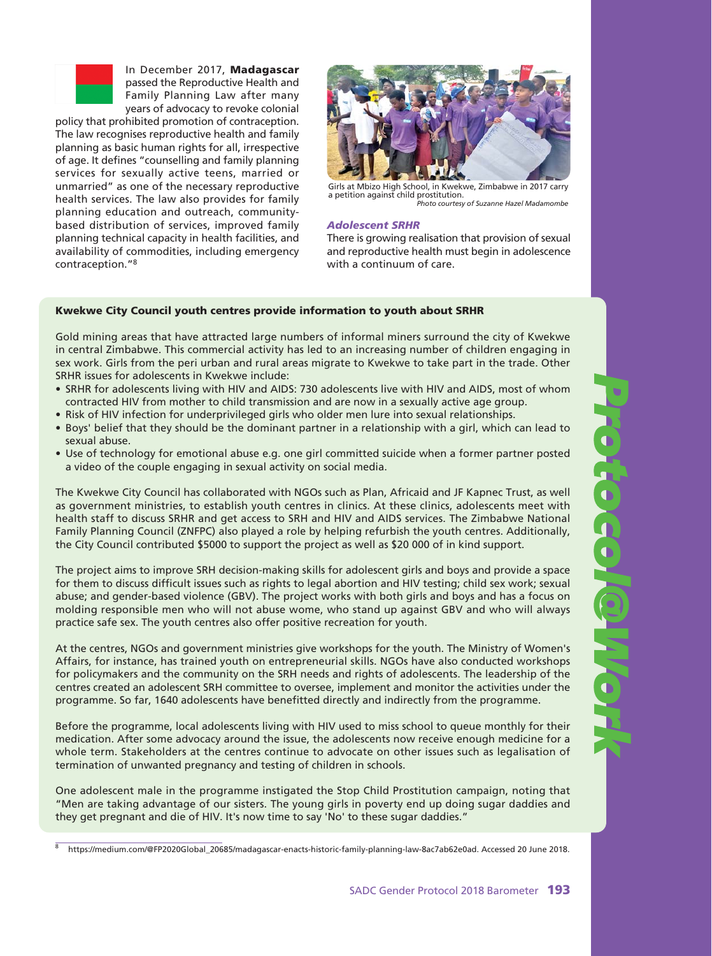

In December 2017, **Madagascar** passed the Reproductive Health and Family Planning Law after many years of advocacy to revoke colonial

policy that prohibited promotion of contraception. The law recognises reproductive health and family planning as basic human rights for all, irrespective of age. It defines "counselling and family planning services for sexually active teens, married or unmarried" as one of the necessary reproductive health services. The law also provides for family planning education and outreach, communitybased distribution of services, improved family planning technical capacity in health facilities, and availability of commodities, including emergency contraception."8



Girls at Mbizo High School, in Kwekwe, Zimbabwe in 2017 carry a petition against child prostitution. *Photo courtesy of Suzanne Hazel Madamombe*

#### *Adolescent SRHR*

There is growing realisation that provision of sexual and reproductive health must begin in adolescence with a continuum of care.

#### **Kwekwe City Council youth centres provide information to youth about SRHR**

Gold mining areas that have attracted large numbers of informal miners surround the city of Kwekwe in central Zimbabwe. This commercial activity has led to an increasing number of children engaging in sex work. Girls from the peri urban and rural areas migrate to Kwekwe to take part in the trade. Other SRHR issues for adolescents in Kwekwe include:

- SRHR for adolescents living with HIV and AIDS: 730 adolescents live with HIV and AIDS, most of whom contracted HIV from mother to child transmission and are now in a sexually active age group.
- Risk of HIV infection for underprivileged girls who older men lure into sexual relationships.
- Boys' belief that they should be the dominant partner in a relationship with a girl, which can lead to sexual abuse.
- Use of technology for emotional abuse e.g. one girl committed suicide when a former partner posted a video of the couple engaging in sexual activity on social media.

The Kwekwe City Council has collaborated with NGOs such as Plan, Africaid and JF Kapnec Trust, as well as government ministries, to establish youth centres in clinics. At these clinics, adolescents meet with health staff to discuss SRHR and get access to SRH and HIV and AIDS services. The Zimbabwe National Family Planning Council (ZNFPC) also played a role by helping refurbish the youth centres. Additionally, the City Council contributed \$5000 to support the project as well as \$20 000 of in kind support.

The project aims to improve SRH decision-making skills for adolescent girls and boys and provide a space for them to discuss difficult issues such as rights to legal abortion and HIV testing; child sex work; sexual abuse; and gender-based violence (GBV). The project works with both girls and boys and has a focus on molding responsible men who will not abuse wome, who stand up against GBV and who will always practice safe sex. The youth centres also offer positive recreation for youth.

At the centres, NGOs and government ministries give workshops for the youth. The Ministry of Women's Affairs, for instance, has trained youth on entrepreneurial skills. NGOs have also conducted workshops for policymakers and the community on the SRH needs and rights of adolescents. The leadership of the centres created an adolescent SRH committee to oversee, implement and monitor the activities under the programme. So far, 1640 adolescents have benefitted directly and indirectly from the programme.

Before the programme, local adolescents living with HIV used to miss school to queue monthly for their medication. After some advocacy around the issue, the adolescents now receive enough medicine for a whole term. Stakeholders at the centres continue to advocate on other issues such as legalisation of termination of unwanted pregnancy and testing of children in schools.

One adolescent male in the programme instigated the Stop Child Prostitution campaign, noting that "Men are taking advantage of our sisters. The young girls in poverty end up doing sugar daddies and they get pregnant and die of HIV. It's now time to say 'No' to these sugar daddies."

*Protocol@Work*

<sup>8</sup> https://medium.com/@FP2020Global\_20685/madagascar-enacts-historic-family-planning-law-8ac7ab62e0ad. Accessed 20 June 2018.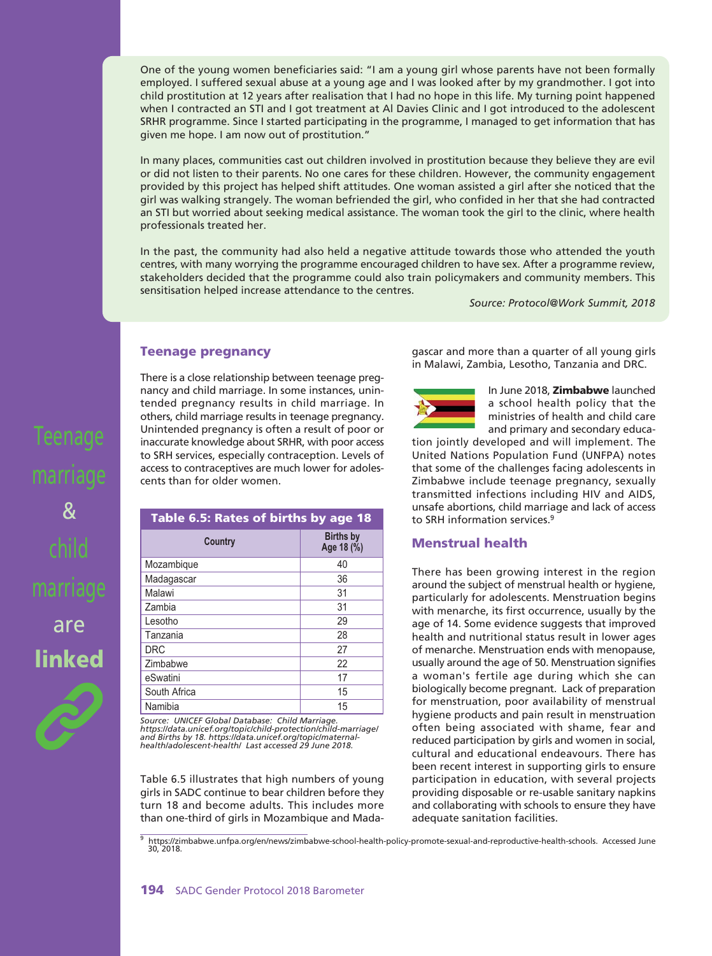One of the young women beneficiaries said: "I am a young girl whose parents have not been formally employed. I suffered sexual abuse at a young age and I was looked after by my grandmother. I got into child prostitution at 12 years after realisation that I had no hope in this life. My turning point happened when I contracted an STI and I got treatment at Al Davies Clinic and I got introduced to the adolescent SRHR programme. Since I started participating in the programme, I managed to get information that has given me hope. I am now out of prostitution."

In many places, communities cast out children involved in prostitution because they believe they are evil or did not listen to their parents. No one cares for these children. However, the community engagement provided by this project has helped shift attitudes. One woman assisted a girl after she noticed that the girl was walking strangely. The woman befriended the girl, who confided in her that she had contracted an STI but worried about seeking medical assistance. The woman took the girl to the clinic, where health professionals treated her.

In the past, the community had also held a negative attitude towards those who attended the youth centres, with many worrying the programme encouraged children to have sex. After a programme review, stakeholders decided that the programme could also train policymakers and community members. This sensitisation helped increase attendance to the centres.

*Source: Protocol@Work Summit, 2018*

#### **Teenage pregnancy**

Teenage

marriage

&

child

marriage

are

**linked**

There is a close relationship between teenage pregnancy and child marriage. In some instances, unintended pregnancy results in child marriage. In others, child marriage results in teenage pregnancy. Unintended pregnancy is often a result of poor or inaccurate knowledge about SRHR, with poor access to SRH services, especially contraception. Levels of access to contraceptives are much lower for adolescents than for older women.

| <b>Births by</b><br>Country<br>Age 18 (%)<br>40<br>Mozambique<br>Madagascar<br>36<br>Malawi<br>31<br>Zambia<br>31<br>29<br>Lesotho<br>Tanzania<br>28<br><b>DRC</b><br>27<br><b>Zimbabwe</b><br>22<br>17<br>eSwatini<br>South Africa<br>15<br>Namibia<br>15 | Table 6.5: Rates of births by age 18 |  |
|------------------------------------------------------------------------------------------------------------------------------------------------------------------------------------------------------------------------------------------------------------|--------------------------------------|--|
|                                                                                                                                                                                                                                                            |                                      |  |
|                                                                                                                                                                                                                                                            |                                      |  |
|                                                                                                                                                                                                                                                            |                                      |  |
|                                                                                                                                                                                                                                                            |                                      |  |
|                                                                                                                                                                                                                                                            |                                      |  |
|                                                                                                                                                                                                                                                            |                                      |  |
|                                                                                                                                                                                                                                                            |                                      |  |
|                                                                                                                                                                                                                                                            |                                      |  |
|                                                                                                                                                                                                                                                            |                                      |  |
|                                                                                                                                                                                                                                                            |                                      |  |
|                                                                                                                                                                                                                                                            |                                      |  |
|                                                                                                                                                                                                                                                            |                                      |  |

*Source: UNICEF Global Database: Child Marriage. https://data.unicef.org/topic/child-protection/child-marriage/ and Births by 18. https://data.unicef.org/topic/maternalhealth/adolescent-health/ Last accessed 29 June 2018.*

Table 6.5 illustrates that high numbers of young girls in SADC continue to bear children before they turn 18 and become adults. This includes more than one-third of girls in Mozambique and Madagascar and more than a quarter of all young girls in Malawi, Zambia, Lesotho, Tanzania and DRC.



In June 2018, **Zimbabwe** launched a school health policy that the ministries of health and child care and primary and secondary educa-

tion jointly developed and will implement. The United Nations Population Fund (UNFPA) notes that some of the challenges facing adolescents in Zimbabwe include teenage pregnancy, sexually transmitted infections including HIV and AIDS, unsafe abortions, child marriage and lack of access to SRH information services.9

#### **Menstrual health**

There has been growing interest in the region around the subject of menstrual health or hygiene, particularly for adolescents. Menstruation begins with menarche, its first occurrence, usually by the age of 14. Some evidence suggests that improved health and nutritional status result in lower ages of menarche. Menstruation ends with menopause, usually around the age of 50. Menstruation signifies a woman's fertile age during which she can biologically become pregnant. Lack of preparation for menstruation, poor availability of menstrual hygiene products and pain result in menstruation often being associated with shame, fear and reduced participation by girls and women in social, cultural and educational endeavours. There has been recent interest in supporting girls to ensure participation in education, with several projects providing disposable or re-usable sanitary napkins and collaborating with schools to ensure they have adequate sanitation facilities.

<sup>9</sup> https://zimbabwe.unfpa.org/en/news/zimbabwe-school-health-policy-promote-sexual-and-reproductive-health-schools. Accessed June 30, 2018.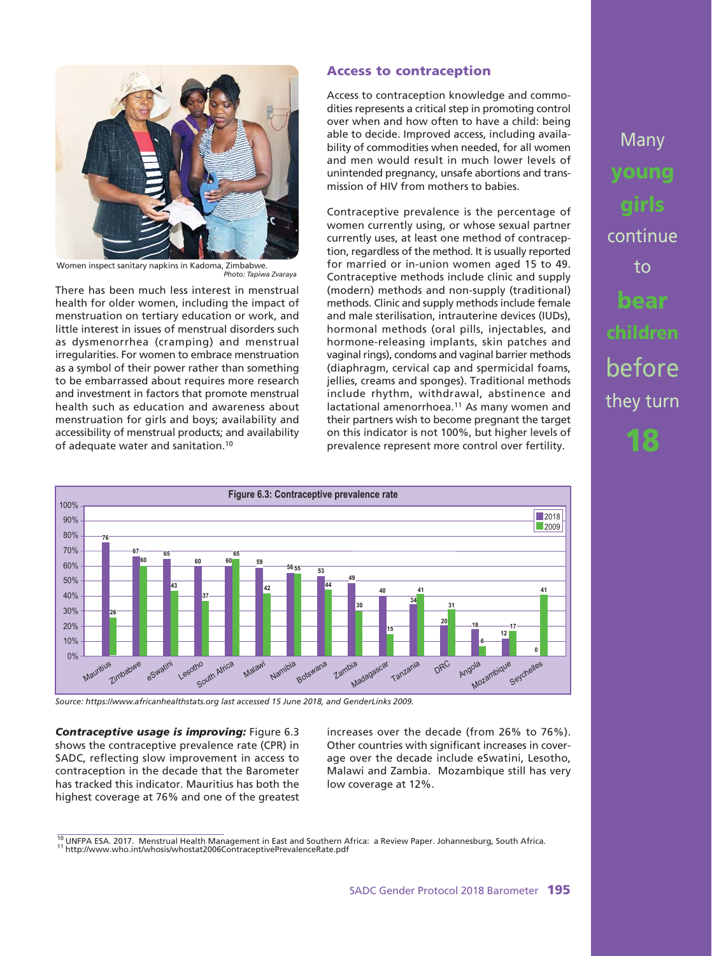

Women inspect sanitary napkins in Kadoma, Zimbabwe. *Photo: Tapiwa Zvaraya*

There has been much less interest in menstrual health for older women, including the impact of menstruation on tertiary education or work, and little interest in issues of menstrual disorders such as dysmenorrhea (cramping) and menstrual irregularities. For women to embrace menstruation as a symbol of their power rather than something to be embarrassed about requires more research and investment in factors that promote menstrual health such as education and awareness about menstruation for girls and boys; availability and accessibility of menstrual products; and availability of adequate water and sanitation.10

#### **Access to contraception**

Access to contraception knowledge and commodities represents a critical step in promoting control over when and how often to have a child: being able to decide. Improved access, including availability of commodities when needed, for all women and men would result in much lower levels of unintended pregnancy, unsafe abortions and transmission of HIV from mothers to babies.

Contraceptive prevalence is the percentage of women currently using, or whose sexual partner currently uses, at least one method of contraception, regardless of the method. It is usually reported for married or in-union women aged 15 to 49. Contraceptive methods include clinic and supply (modern) methods and non-supply (traditional) methods. Clinic and supply methods include female and male sterilisation, intrauterine devices (IUDs), hormonal methods (oral pills, injectables, and hormone-releasing implants, skin patches and vaginal rings), condoms and vaginal barrier methods (diaphragm, cervical cap and spermicidal foams, jellies, creams and sponges). Traditional methods include rhythm, withdrawal, abstinence and lactational amenorrhoea.<sup>11</sup> As many women and their partners wish to become pregnant the target on this indicator is not 100%, but higher levels of prevalence represent more control over fertility.



*Source: https://www.africanhealthstats.org last accessed 15 June 2018, and GenderLinks 2009.*

*Contraceptive usage is improving:* Figure 6.3 shows the contraceptive prevalence rate (CPR) in SADC, reflecting slow improvement in access to contraception in the decade that the Barometer has tracked this indicator. Mauritius has both the highest coverage at 76% and one of the greatest increases over the decade (from 26% to 76%). Other countries with significant increases in coverage over the decade include eSwatini, Lesotho, Malawi and Zambia. Mozambique still has very low coverage at 12%.

 $\frac{10}{10}$  UNFPA ESA. 2017. Menstrual Health Management in East and Southern Africa: a Review Paper. Johannesburg, South Africa.<br><sup>11</sup> http://www.who.int/whosis/whostat2006ContraceptivePrevalenceRate.pdf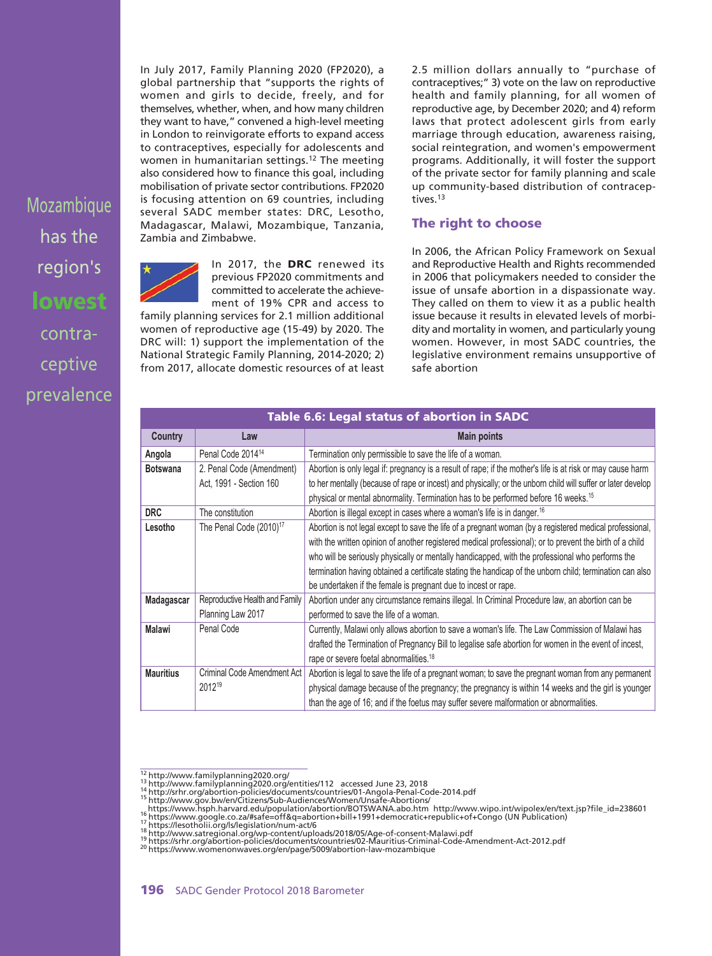In July 2017, Family Planning 2020 (FP2020), a global partnership that "supports the rights of women and girls to decide, freely, and for themselves, whether, when, and how many children they want to have," convened a high-level meeting in London to reinvigorate efforts to expand access to contraceptives, especially for adolescents and women in humanitarian settings.12 The meeting also considered how to finance this goal, including mobilisation of private sector contributions. FP2020 is focusing attention on 69 countries, including several SADC member states: DRC, Lesotho, Madagascar, Malawi, Mozambique, Tanzania, Zambia and Zimbabwe.



contraceptive prevalence

Mozambique

has the

region's

**lowest**

In 2017, the **DRC** renewed its previous FP2020 commitments and committed to accelerate the achievement of 19% CPR and access to

family planning services for 2.1 million additional women of reproductive age (15-49) by 2020. The DRC will: 1) support the implementation of the National Strategic Family Planning, 2014-2020; 2) from 2017, allocate domestic resources of at least

2.5 million dollars annually to "purchase of contraceptives;" 3) vote on the law on reproductive health and family planning, for all women of reproductive age, by December 2020; and 4) reform laws that protect adolescent girls from early marriage through education, awareness raising, social reintegration, and women's empowerment programs. Additionally, it will foster the support of the private sector for family planning and scale up community-based distribution of contraceptives.13

#### **The right to choose**

In 2006, the African Policy Framework on Sexual and Reproductive Health and Rights recommended in 2006 that policymakers needed to consider the issue of unsafe abortion in a dispassionate way. They called on them to view it as a public health issue because it results in elevated levels of morbidity and mortality in women, and particularly young women. However, in most SADC countries, the legislative environment remains unsupportive of safe abortion

|                  |                                     | Table 6.6: Legal status of abortion in SADC                                                                  |
|------------------|-------------------------------------|--------------------------------------------------------------------------------------------------------------|
| <b>Country</b>   | Law                                 | <b>Main points</b>                                                                                           |
| Angola           | Penal Code 2014 <sup>14</sup>       | Termination only permissible to save the life of a woman.                                                    |
| <b>Botswana</b>  | 2. Penal Code (Amendment)           | Abortion is only legal if: pregnancy is a result of rape; if the mother's life is at risk or may cause harm  |
|                  | Act, 1991 - Section 160             | to her mentally (because of rape or incest) and physically; or the unborn child will suffer or later develop |
|                  |                                     | physical or mental abnormality. Termination has to be performed before 16 weeks. <sup>15</sup>               |
| <b>DRC</b>       | The constitution                    | Abortion is illegal except in cases where a woman's life is in danger. <sup>16</sup>                         |
| Lesotho          | The Penal Code (2010) <sup>17</sup> | Abortion is not legal except to save the life of a pregnant woman (by a registered medical professional,     |
|                  |                                     | with the written opinion of another registered medical professional); or to prevent the birth of a child     |
|                  |                                     | who will be seriously physically or mentally handicapped, with the professional who performs the             |
|                  |                                     | termination having obtained a certificate stating the handicap of the unborn child; termination can also     |
|                  |                                     | be undertaken if the female is pregnant due to incest or rape.                                               |
| Madagascar       | Reproductive Health and Family      | Abortion under any circumstance remains illegal. In Criminal Procedure law, an abortion can be               |
|                  | Planning Law 2017                   | performed to save the life of a woman.                                                                       |
| <b>Malawi</b>    | Penal Code                          | Currently, Malawi only allows abortion to save a woman's life. The Law Commission of Malawi has              |
|                  |                                     | drafted the Termination of Pregnancy Bill to legalise safe abortion for women in the event of incest,        |
|                  |                                     | rape or severe foetal abnormalities. <sup>18</sup>                                                           |
| <b>Mauritius</b> | Criminal Code Amendment Act         | Abortion is legal to save the life of a pregnant woman; to save the pregnant woman from any permanent        |
|                  | 201219                              | physical damage because of the pregnancy; the pregnancy is within 14 weeks and the girl is younger           |
|                  |                                     | than the age of 16; and if the foetus may suffer severe malformation or abnormalities.                       |

- 
- 
- https://www.wipp.htmzvr.usuar.html<br>https://www.wipp.htmzvrd.edu/population/abortion/BOTSWANA.abo.htm<br>
<sup>16</sup> https://www.satregional.org/wyp-content/uploads/2018/075WANA.abo.htm<br>
<sup>17</sup> https://www.satregional.org/wyp-content/
- 
- 
- 

 $^{12}$  http://www.familyplanning2020.org/<br> $^{13}$  http://www.familyplanning2020.org/entities/112 accessed June 23, 2018<br> $^{14}$  http://srhr.org/abortion-policies/documents/countries/01-Angola-Penal-Code-2014.pdf<br> $^{14}$  http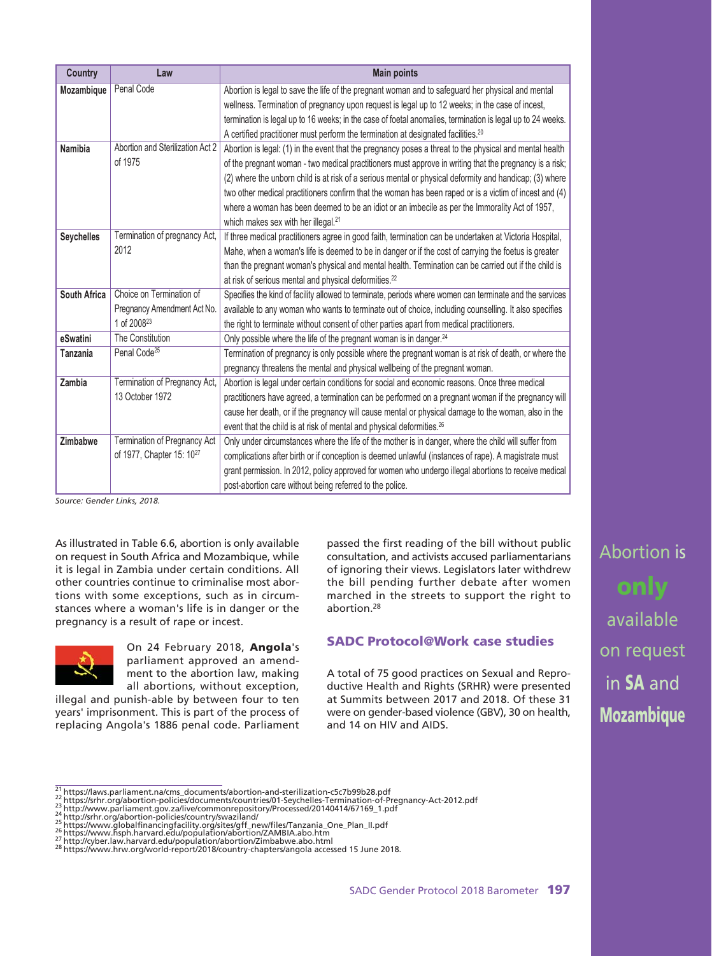| <b>Country</b>    | Law                                                                                | <b>Main points</b>                                                                                                                                                                                                                                                                                                                                                                                                                                                                                                                                                                           |
|-------------------|------------------------------------------------------------------------------------|----------------------------------------------------------------------------------------------------------------------------------------------------------------------------------------------------------------------------------------------------------------------------------------------------------------------------------------------------------------------------------------------------------------------------------------------------------------------------------------------------------------------------------------------------------------------------------------------|
| Mozambique        | Penal Code                                                                         | Abortion is legal to save the life of the pregnant woman and to safeguard her physical and mental<br>wellness. Termination of pregnancy upon request is legal up to 12 weeks; in the case of incest,<br>termination is legal up to 16 weeks; in the case of foetal anomalies, termination is legal up to 24 weeks.<br>A certified practitioner must perform the termination at designated facilities. <sup>20</sup>                                                                                                                                                                          |
| Namibia           | Abortion and Sterilization Act 2<br>of 1975                                        | Abortion is legal: (1) in the event that the pregnancy poses a threat to the physical and mental health<br>of the pregnant woman - two medical practitioners must approve in writing that the pregnancy is a risk;<br>(2) where the unborn child is at risk of a serious mental or physical deformity and handicap; (3) where<br>two other medical practitioners confirm that the woman has been raped or is a victim of incest and (4)<br>where a woman has been deemed to be an idiot or an imbecile as per the Immorality Act of 1957,<br>which makes sex with her illegal. <sup>21</sup> |
| <b>Seychelles</b> | Termination of pregnancy Act,<br>2012                                              | If three medical practitioners agree in good faith, termination can be undertaken at Victoria Hospital,<br>Mahe, when a woman's life is deemed to be in danger or if the cost of carrying the foetus is greater<br>than the pregnant woman's physical and mental health. Termination can be carried out if the child is<br>at risk of serious mental and physical deformities. <sup>22</sup>                                                                                                                                                                                                 |
| South Africa      | Choice on Termination of<br>Pregnancy Amendment Act No.<br>1 of 2008 <sup>23</sup> | Specifies the kind of facility allowed to terminate, periods where women can terminate and the services<br>available to any woman who wants to terminate out of choice, including counselling. It also specifies<br>the right to terminate without consent of other parties apart from medical practitioners.                                                                                                                                                                                                                                                                                |
| eSwatini          | The Constitution                                                                   | Only possible where the life of the pregnant woman is in danger. <sup>24</sup>                                                                                                                                                                                                                                                                                                                                                                                                                                                                                                               |
| Tanzania          | Penal Code <sup>25</sup>                                                           | Termination of pregnancy is only possible where the pregnant woman is at risk of death, or where the<br>pregnancy threatens the mental and physical wellbeing of the pregnant woman.                                                                                                                                                                                                                                                                                                                                                                                                         |
| Zambia            | Termination of Pregnancy Act,<br>13 October 1972                                   | Abortion is legal under certain conditions for social and economic reasons. Once three medical<br>practitioners have agreed, a termination can be performed on a pregnant woman if the pregnancy will<br>cause her death, or if the pregnancy will cause mental or physical damage to the woman, also in the<br>event that the child is at risk of mental and physical deformities. <sup>26</sup>                                                                                                                                                                                            |
| Zimbabwe          | Termination of Pregnancy Act<br>of 1977, Chapter 15: 10 <sup>27</sup>              | Only under circumstances where the life of the mother is in danger, where the child will suffer from<br>complications after birth or if conception is deemed unlawful (instances of rape). A magistrate must<br>grant permission. In 2012, policy approved for women who undergo illegal abortions to receive medical<br>post-abortion care without being referred to the police.                                                                                                                                                                                                            |

*Source: Gender Links, 2018.*

As illustrated in Table 6.6, abortion is only available on request in South Africa and Mozambique, while it is legal in Zambia under certain conditions. All other countries continue to criminalise most abortions with some exceptions, such as in circumstances where a woman's life is in danger or the pregnancy is a result of rape or incest.



On 24 February 2018, **Angola**'s parliament approved an amendment to the abortion law, making all abortions, without exception,

illegal and punish-able by between four to ten years' imprisonment. This is part of the process of replacing Angola's 1886 penal code. Parliament

passed the first reading of the bill without public consultation, and activists accused parliamentarians of ignoring their views. Legislators later withdrew the bill pending further debate after women marched in the streets to support the right to abortion.28

#### **SADC Protocol@Work case studies**

A total of 75 good practices on Sexual and Reproductive Health and Rights (SRHR) were presented at Summits between 2017 and 2018. Of these 31 were on gender-based violence (GBV), 30 on health, and 14 on HIV and AIDS.

Abortion is **only** available on request in **SA** and **Mozambique**

<sup>&</sup>lt;sup>21</sup> https://laws.parliament.na/cms\_documents/abortion-and-sterilization-c5c7b99b28.pdf<br>
<sup>22</sup> https://srhr.org/abortion-policies/documents/countries/01-Seychelles-Termination-of-Pregnancy-Act-2012.pdf<br>
<sup>23</sup> http://srhr.or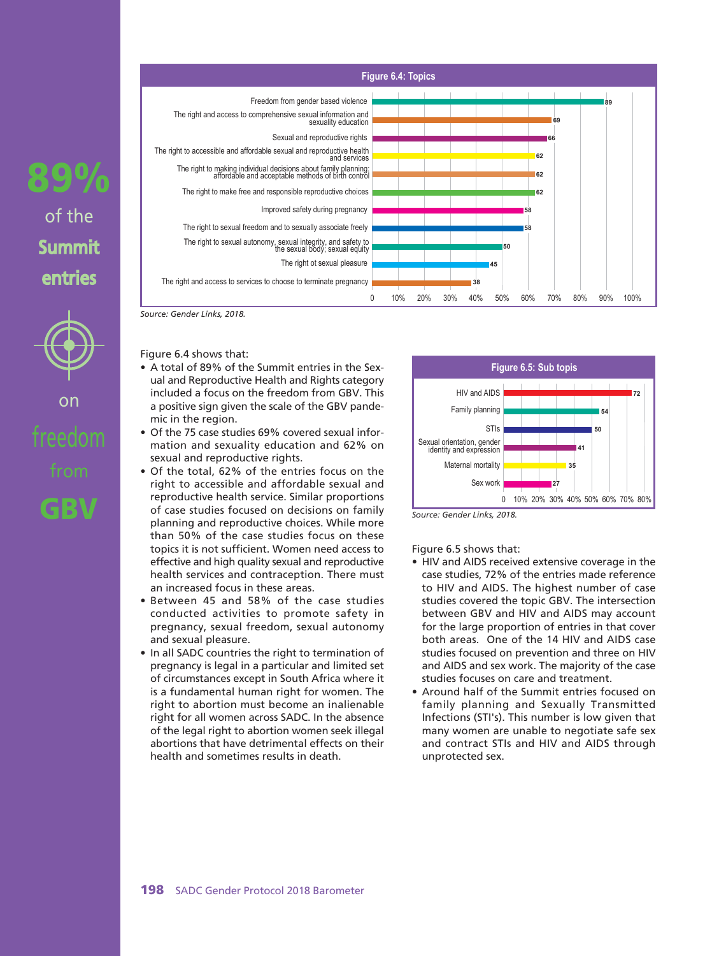

*Source: Gender Links, 2018.*

of the

Summit

entries

on

freedom

**GBV**

Figure 6.4 shows that:

- A total of 89% of the Summit entries in the Sexual and Reproductive Health and Rights category included a focus on the freedom from GBV. This a positive sign given the scale of the GBV pandemic in the region.
- Of the 75 case studies 69% covered sexual information and sexuality education and 62% on sexual and reproductive rights.
- Of the total, 62% of the entries focus on the right to accessible and affordable sexual and reproductive health service. Similar proportions of case studies focused on decisions on family planning and reproductive choices. While more than 50% of the case studies focus on these topics it is not sufficient. Women need access to effective and high quality sexual and reproductive health services and contraception. There must an increased focus in these areas.
- Between 45 and 58% of the case studies conducted activities to promote safety in pregnancy, sexual freedom, sexual autonomy and sexual pleasure.
- In all SADC countries the right to termination of pregnancy is legal in a particular and limited set of circumstances except in South Africa where it is a fundamental human right for women. The right to abortion must become an inalienable right for all women across SADC. In the absence of the legal right to abortion women seek illegal abortions that have detrimental effects on their health and sometimes results in death.





#### Figure 6.5 shows that:

- HIV and AIDS received extensive coverage in the case studies, 72% of the entries made reference to HIV and AIDS. The highest number of case studies covered the topic GBV. The intersection between GBV and HIV and AIDS may account for the large proportion of entries in that cover both areas. One of the 14 HIV and AIDS case studies focused on prevention and three on HIV and AIDS and sex work. The majority of the case studies focuses on care and treatment.
- Around half of the Summit entries focused on family planning and Sexually Transmitted Infections (STI's). This number is low given that many women are unable to negotiate safe sex and contract STIs and HIV and AIDS through unprotected sex.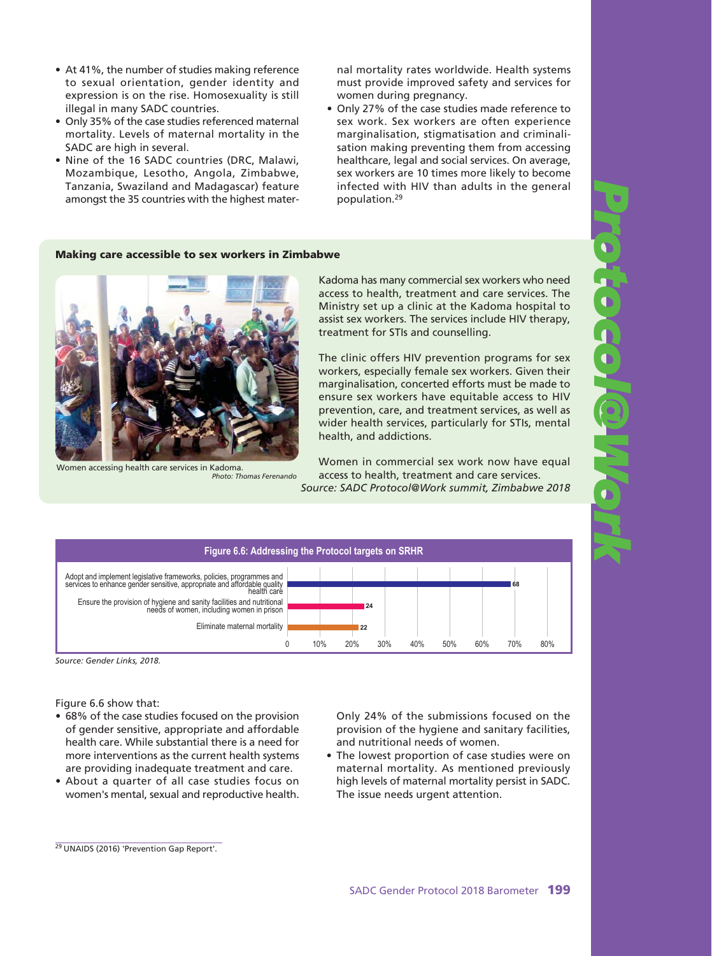- At 41%, the number of studies making reference to sexual orientation, gender identity and expression is on the rise. Homosexuality is still illegal in many SADC countries.
- Only 35% of the case studies referenced maternal mortality. Levels of maternal mortality in the SADC are high in several.
- Nine of the 16 SADC countries (DRC, Malawi, Mozambique, Lesotho, Angola, Zimbabwe, Tanzania, Swaziland and Madagascar) feature amongst the 35 countries with the highest mater-

nal mortality rates worldwide. Health systems must provide improved safety and services for women during pregnancy.

• Only 27% of the case studies made reference to sex work. Sex workers are often experience marginalisation, stigmatisation and criminalisation making preventing them from accessing healthcare, legal and social services. On average, sex workers are 10 times more likely to become infected with HIV than adults in the general population.29

#### **Making care accessible to sex workers in Zimbabwe**



Women accessing health care services in Kadoma. *Photo: Thomas Ferenando*

Kadoma has many commercial sex workers who need access to health, treatment and care services. The Ministry set up a clinic at the Kadoma hospital to assist sex workers. The services include HIV therapy, treatment for STIs and counselling.

The clinic offers HIV prevention programs for sex workers, especially female sex workers. Given their marginalisation, concerted efforts must be made to ensure sex workers have equitable access to HIV prevention, care, and treatment services, as well as wider health services, particularly for STIs, mental health, and addictions.

*Protocol@Work*

 $\ddot{\bullet}$ 

Women in commercial sex work now have equal access to health, treatment and care services. *Source: SADC Protocol@Work summit, Zimbabwe 2018*



*Source: Gender Links, 2018.*

Figure 6.6 show that:

- 68% of the case studies focused on the provision of gender sensitive, appropriate and affordable health care. While substantial there is a need for more interventions as the current health systems are providing inadequate treatment and care.
- About a quarter of all case studies focus on women's mental, sexual and reproductive health.

Only 24% of the submissions focused on the provision of the hygiene and sanitary facilities, and nutritional needs of women.

• The lowest proportion of case studies were on maternal mortality. As mentioned previously high levels of maternal mortality persist in SADC. The issue needs urgent attention.

<sup>29</sup> UNAIDS (2016) 'Prevention Gap Report'.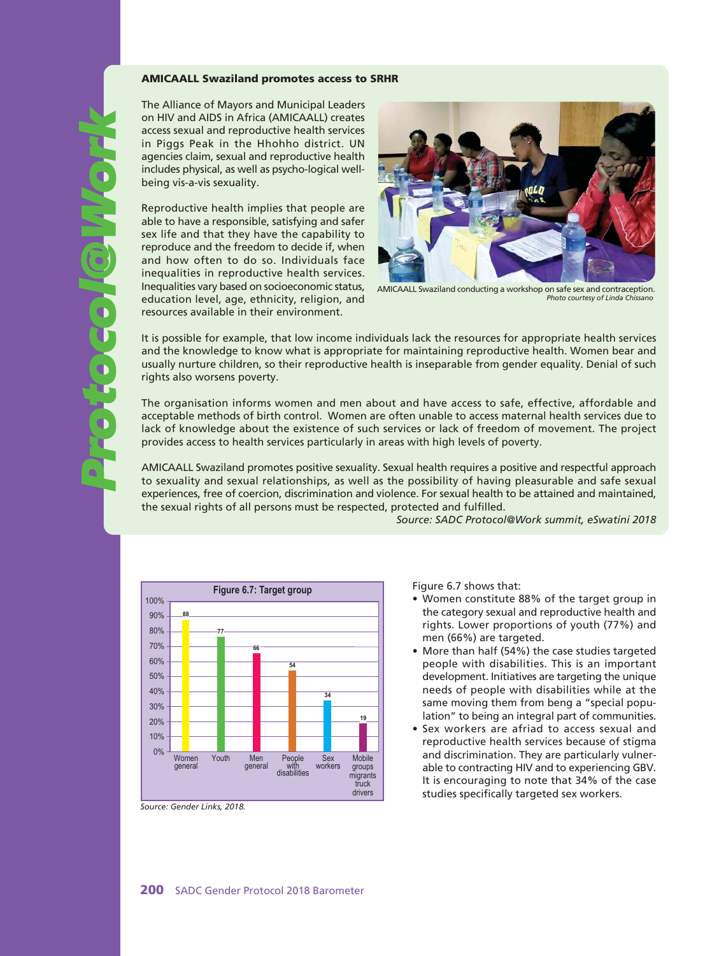#### **AMICAALL Swaziland promotes access to SRHR**

The Alliance of Mayors and Municipal Leaders on HIV and AIDS in Africa (AMICAALL) creates access sexual and reproductive health services in Piggs Peak in the Hhohho district. UN agencies claim, sexual and reproductive health includes physical, as well as psycho-logical wellbeing vis-a-vis sexuality.

Reproductive health implies that people are able to have a responsible, satisfying and safer sex life and that they have the capability to reproduce and the freedom to decide if, when and how often to do so. Individuals face inequalities in reproductive health services. Inequalities vary based on socioeconomic status, education level, age, ethnicity, religion, and resources available in their environment.

*Protocol@Work*



AMICAALL Swaziland conducting a workshop on safe sex and contraception. *Photo courtesy of Linda Chissano*

It is possible for example, that low income individuals lack the resources for appropriate health services and the knowledge to know what is appropriate for maintaining reproductive health. Women bear and usually nurture children, so their reproductive health is inseparable from gender equality. Denial of such rights also worsens poverty.

The organisation informs women and men about and have access to safe, effective, affordable and acceptable methods of birth control. Women are often unable to access maternal health services due to lack of knowledge about the existence of such services or lack of freedom of movement. The project provides access to health services particularly in areas with high levels of poverty.

AMICAALL Swaziland promotes positive sexuality. Sexual health requires a positive and respectful approach to sexuality and sexual relationships, as well as the possibility of having pleasurable and safe sexual experiences, free of coercion, discrimination and violence. For sexual health to be attained and maintained, the sexual rights of all persons must be respected, protected and fulfilled.

*Source: SADC Protocol@Work summit, eSwatini 2018*



*Source: Gender Links, 2018.*

Figure 6.7 shows that:

- Women constitute 88% of the target group in the category sexual and reproductive health and rights. Lower proportions of youth (77%) and men (66%) are targeted.
- More than half (54%) the case studies targeted people with disabilities. This is an important development. Initiatives are targeting the unique needs of people with disabilities while at the same moving them from beng a "special population" to being an integral part of communities.
- Sex workers are afriad to access sexual and reproductive health services because of stigma and discrimination. They are particularly vulnerable to contracting HIV and to experiencing GBV. It is encouraging to note that 34% of the case studies specifically targeted sex workers.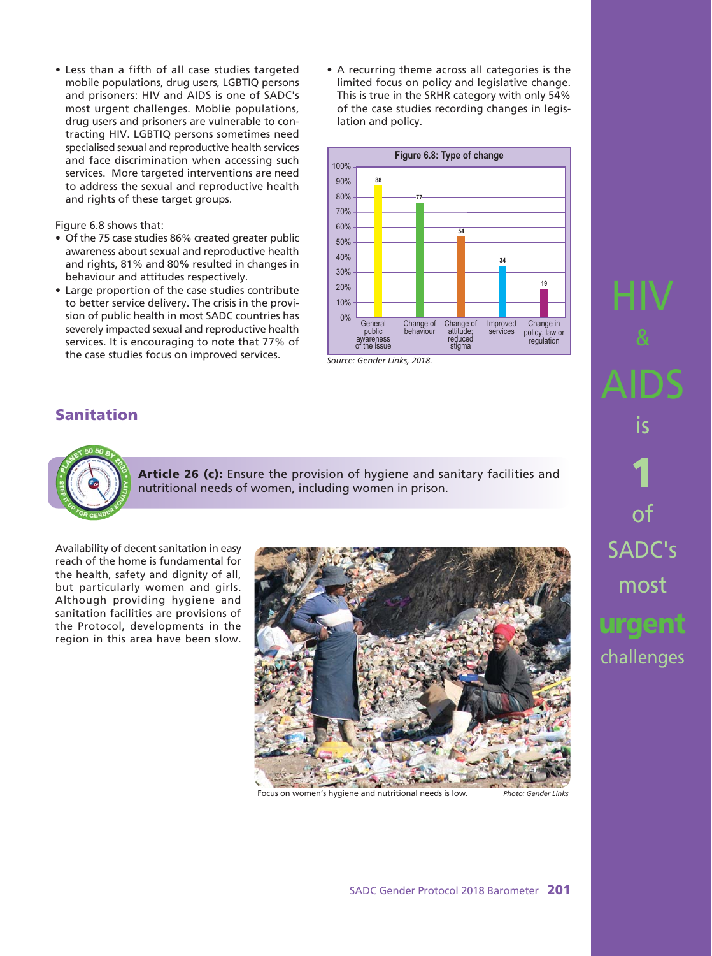• Less than a fifth of all case studies targeted mobile populations, drug users, LGBTIQ persons and prisoners: HIV and AIDS is one of SADC's most urgent challenges. Moblie populations, drug users and prisoners are vulnerable to contracting HIV. LGBTIQ persons sometimes need specialised sexual and reproductive health services and face discrimination when accessing such services. More targeted interventions are need to address the sexual and reproductive health and rights of these target groups.

Figure 6.8 shows that:

- Of the 75 case studies 86% created greater public awareness about sexual and reproductive health and rights, 81% and 80% resulted in changes in behaviour and attitudes respectively.
- Large proportion of the case studies contribute to better service delivery. The crisis in the provision of public health in most SADC countries has severely impacted sexual and reproductive health services. It is encouraging to note that 77% of the case studies focus on improved services.

• A recurring theme across all categories is the limited focus on policy and legislative change. This is true in the SRHR category with only 54% of the case studies recording changes in legislation and policy.



*Source: Gender Links, 2018.*

# **Sanitation**



**Article 26 (c):** Ensure the provision of hygiene and sanitary facilities and nutritional needs of women, including women in prison.

Availability of decent sanitation in easy reach of the home is fundamental for the health, safety and dignity of all, but particularly women and girls. Although providing hygiene and sanitation facilities are provisions of the Protocol, developments in the region in this area have been slow.



Focus on women's hygiene and nutritional needs is low. *Photo: Gender Links*

HIV AIDS is **1** of SADC's most **urgent** challenges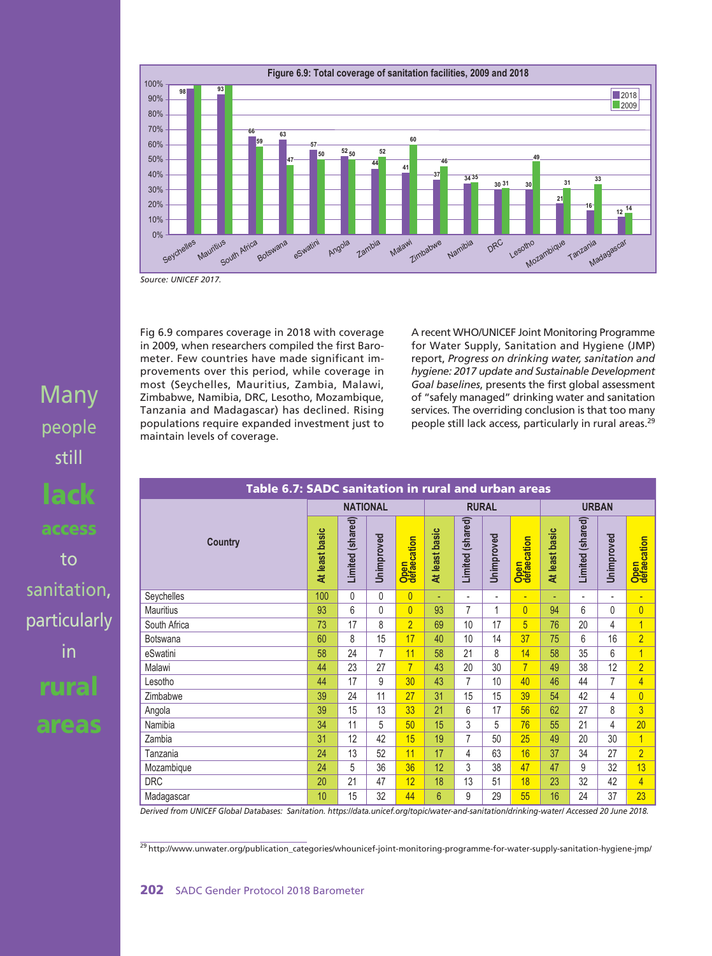

*Source: UNICEF 2017.*

Many

people

still

**lack**

**access**

to

sanitation,

particularly

in

**rural**

**areas**

Fig 6.9 compares coverage in 2018 with coverage in 2009, when researchers compiled the first Barometer. Few countries have made significant improvements over this period, while coverage in most (Seychelles, Mauritius, Zambia, Malawi, Zimbabwe, Namibia, DRC, Lesotho, Mozambique, Tanzania and Madagascar) has declined. Rising populations require expanded investment just to maintain levels of coverage.

A recent WHO/UNICEF Joint Monitoring Programme for Water Supply, Sanitation and Hygiene (JMP) report, *Progress on drinking water, sanitation and hygiene: 2017 update and Sustainable Development Goal baselines*, presents the first global assessment of "safely managed" drinking water and sanitation services. The overriding conclusion is that too many people still lack access, particularly in rural areas.29

| Table 6.7: SADC sanitation in rural and urban areas |                |                  |                |                     |                |                          |                          |                     |                |                  |                          |                     |
|-----------------------------------------------------|----------------|------------------|----------------|---------------------|----------------|--------------------------|--------------------------|---------------------|----------------|------------------|--------------------------|---------------------|
|                                                     |                | <b>NATIONAL</b>  |                |                     |                | <b>RURAL</b>             |                          |                     | <b>URBAN</b>   |                  |                          |                     |
| <b>Country</b>                                      | At least basic | Limited (shared) | Unimproved     | Open<br>defaecation | At least basic | (shared)<br>Limited      | Unimproved               | Open<br>defaecation | At least basic | Limited (shared) | Unimproved               | Open<br>defaecation |
| Seychelles                                          | 100            | $\mathbf{0}$     | $\mathbf{0}$   | $\overline{0}$      | ÷              | $\overline{\phantom{a}}$ | $\overline{\phantom{a}}$ | $\blacksquare$      | Ξ              | $\blacksquare$   | $\overline{\phantom{a}}$ |                     |
| <b>Mauritius</b>                                    | 93             | $6\,$            | 0              | $\overline{0}$      | 93             | 7                        | 1                        | $\overline{0}$      | 94             | 6                | $\mathbf{0}$             | $\overline{0}$      |
| South Africa                                        | 73             | 17               | 8              | $\overline{2}$      | 69             | 10                       | 17                       | 5                   | 76             | 20               | 4                        | $\overline{1}$      |
| Botswana                                            | 60             | 8                | 15             | 17                  | 40             | 10                       | 14                       | 37                  | 75             | 6                | 16                       | $\overline{2}$      |
| eSwatini                                            | 58             | 24               | $\overline{7}$ | 11                  | 58             | 21                       | 8                        | 14                  | 58             | 35               | 6                        | $\overline{1}$      |
| Malawi                                              | 44             | 23               | 27             | $\overline{7}$      | 43             | 20                       | 30                       | $\overline{7}$      | 49             | 38               | 12                       | $\overline{2}$      |
| Lesotho                                             | 44             | 17               | 9              | 30                  | 43             | $\overline{7}$           | 10                       | 40                  | 46             | 44               | $\overline{7}$           | $\overline{4}$      |
| Zimbabwe                                            | 39             | 24               | 11             | 27                  | 31             | 15                       | 15                       | 39                  | 54             | 42               | 4                        | $\overline{0}$      |
| Angola                                              | 39             | 15               | 13             | 33                  | 21             | 6                        | 17                       | 56                  | 62             | 27               | 8                        | $\overline{3}$      |
| Namibia                                             | 34             | 11               | 5              | 50                  | 15             | 3                        | 5                        | 76                  | 55             | 21               | 4                        | 20                  |
| Zambia                                              | 31             | 12               | 42             | 15                  | 19             | $\overline{7}$           | 50                       | 25                  | 49             | 20               | 30                       | 1                   |
| Tanzania                                            | 24             | 13               | 52             | 11                  | 17             | 4                        | 63                       | 16                  | 37             | 34               | 27                       | $\overline{2}$      |
| Mozambique                                          | 24             | 5                | 36             | 36                  | 12             | 3                        | 38                       | 47                  | 47             | 9                | 32                       | 13                  |
| <b>DRC</b>                                          | 20             | 21               | 47             | 12                  | 18             | 13                       | 51                       | 18                  | 23             | 32               | 42                       | 4                   |
| Madagascar                                          | 10             | 15               | 32             | 44                  | 6              | 9                        | 29                       | 55                  | 16             | 24               | 37                       | 23                  |

*Derived from UNICEF Global Databases: Sanitation. https://data.unicef.org/topic/water-and-sanitation/drinking-water/ Accessed 20 June 2018.*

<sup>29</sup> http://www.unwater.org/publication\_categories/whounicef-joint-monitoring-programme-for-water-supply-sanitation-hygiene-jmp/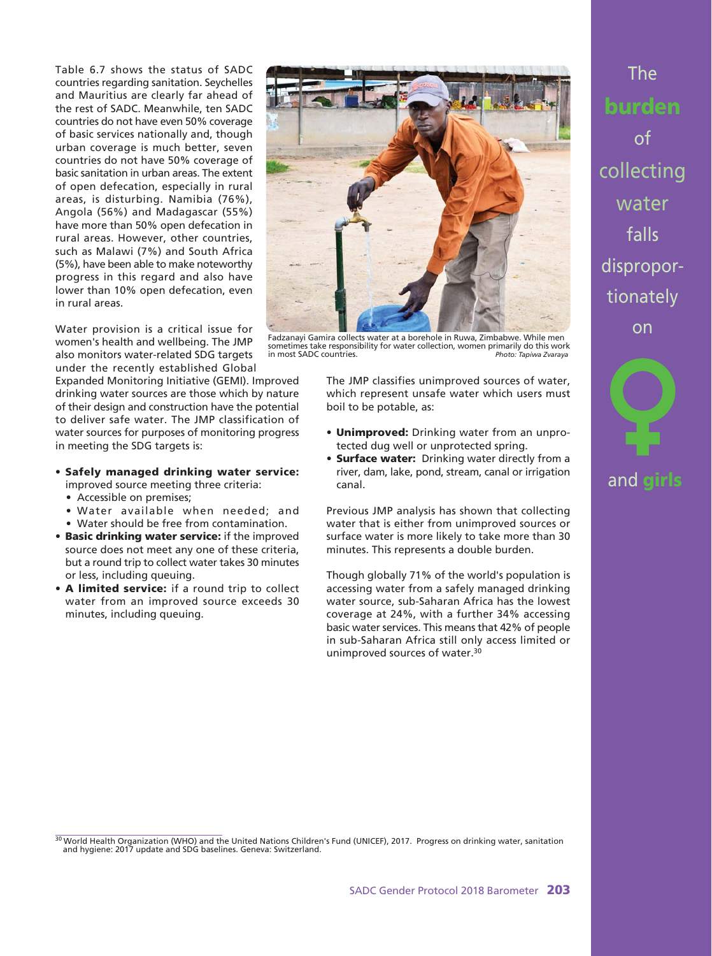Table 6.7 shows the status of SADC countries regarding sanitation. Seychelles and Mauritius are clearly far ahead of the rest of SADC. Meanwhile, ten SADC countries do not have even 50% coverage of basic services nationally and, though urban coverage is much better, seven countries do not have 50% coverage of basic sanitation in urban areas. The extent of open defecation, especially in rural areas, is disturbing. Namibia (76%), Angola (56%) and Madagascar (55%) have more than 50% open defecation in rural areas. However, other countries, such as Malawi (7%) and South Africa (5%), have been able to make noteworthy progress in this regard and also have lower than 10% open defecation, even in rural areas.

Water provision is a critical issue for women's health and wellbeing. The JMP also monitors water-related SDG targets under the recently established Global

Expanded Monitoring Initiative (GEMI). Improved drinking water sources are those which by nature of their design and construction have the potential to deliver safe water. The JMP classification of water sources for purposes of monitoring progress in meeting the SDG targets is:

- **Safely managed drinking water service:** improved source meeting three criteria:
	- Accessible on premises;
	- Water available when needed; and
	- Water should be free from contamination.
- **Basic drinking water service:** if the improved source does not meet any one of these criteria, but a round trip to collect water takes 30 minutes or less, including queuing.
- **A limited service:** if a round trip to collect water from an improved source exceeds 30 minutes, including queuing.



Fadzanayi Gamira collects water at a borehole in Ruwa, Zimbabwe. While men sometimes take responsibility for water collection, women primarily do this work in most SADC countries. *Photo: Tapiwa Zvaraya*

The JMP classifies unimproved sources of water, which represent unsafe water which users must boil to be potable, as:

- **Unimproved:** Drinking water from an unprotected dug well or unprotected spring.
- **Surface water:** Drinking water directly from a river, dam, lake, pond, stream, canal or irrigation canal.

Previous JMP analysis has shown that collecting water that is either from unimproved sources or surface water is more likely to take more than 30 minutes. This represents a double burden.

Though globally 71% of the world's population is accessing water from a safely managed drinking water source, sub-Saharan Africa has the lowest coverage at 24%, with a further 34% accessing basic water services. This means that 42% of people in sub-Saharan Africa still only access limited or unimproved sources of water.30

The **burden** of collecting water falls disproportionately on



# and **girls**

<sup>30</sup> World Health Organization (WHO) and the United Nations Children's Fund (UNICEF), 2017. Progress on drinking water, sanitation and hygiene: 2017 update and SDG baselines. Geneva: Switzerland.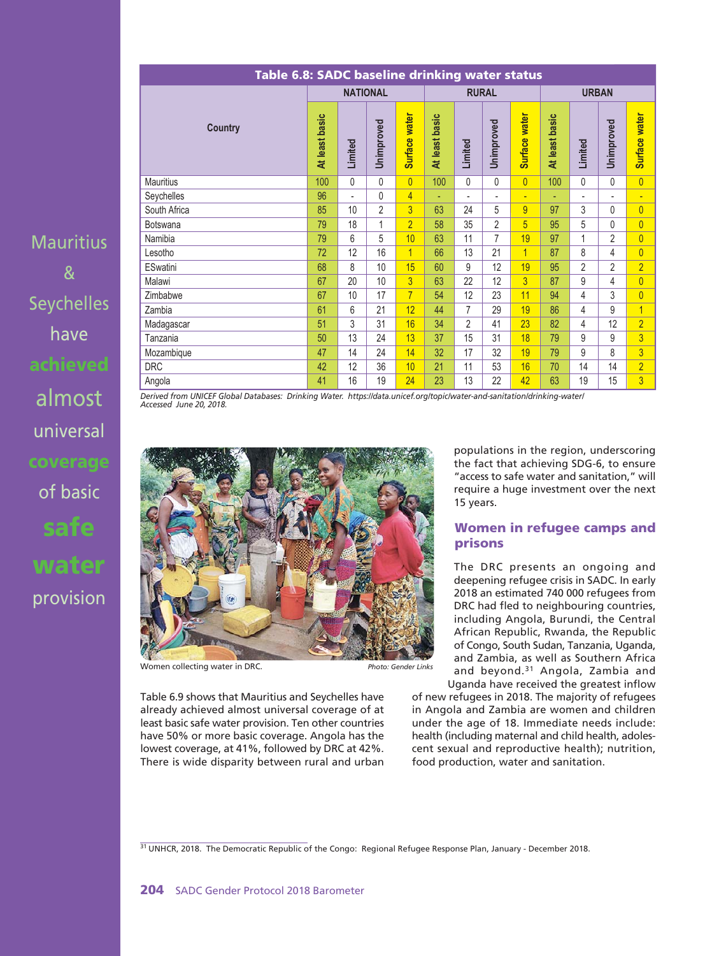**Mauritius** & Seychelles have **achieved** almost universal **coverage** of basic **safe water** provision

| Table 6.8: SADC baseline drinking water status |                |                              |                |                      |                   |                |                |                      |                |                          |                |                      |
|------------------------------------------------|----------------|------------------------------|----------------|----------------------|-------------------|----------------|----------------|----------------------|----------------|--------------------------|----------------|----------------------|
|                                                |                | <b>NATIONAL</b>              |                |                      |                   | <b>RURAL</b>   |                |                      |                | <b>URBAN</b>             |                |                      |
| <b>Country</b>                                 | At least basic | Limited                      | Unimproved     | <b>Surface water</b> | basic<br>At least | Limited        | Unimproved     | <b>Surface water</b> | At least basic | Limited                  | Unimproved     | <b>Surface water</b> |
| <b>Mauritius</b>                               | 100            | $\mathbf{0}$                 | $\Omega$       | $\overline{0}$       | 100               | $\Omega$       | $\mathbf{0}$   | $\overline{0}$       | 100            | 0                        | $\Omega$       | $\overline{0}$       |
| Seychelles                                     | 96             | $\qquad \qquad \blacksquare$ | $\mathbf{0}$   | $\overline{4}$       | ٠                 | ۰              | ٠              | ٠                    | ٠              | $\overline{\phantom{a}}$ | $\blacksquare$ | ÷                    |
| South Africa                                   | 85             | 10                           | $\overline{2}$ | $\overline{3}$       | 63                | 24             | 5              | $\overline{9}$       | 97             | 3                        | 0              | $\overline{0}$       |
| <b>Botswana</b>                                | 79             | 18                           | 1              | $\overline{2}$       | 58                | 35             | $\overline{2}$ | 5                    | 95             | 5                        | $\Omega$       | $\overline{0}$       |
| Namibia                                        | 79             | 6                            | 5              | 10                   | 63                | 11             | 7              | 19                   | 97             | 1                        | $\overline{2}$ | $\overline{0}$       |
| Lesotho                                        | 72             | 12                           | 16             | $\overline{1}$       | 66                | 13             | 21             | $\overline{1}$       | 87             | 8                        | 4              | $\overline{0}$       |
| <b>ESwatini</b>                                | 68             | 8                            | 10             | 15                   | 60                | 9              | 12             | 19                   | 95             | $\overline{2}$           | $\overline{2}$ | $\overline{2}$       |
| Malawi                                         | 67             | 20                           | 10             | $\overline{3}$       | 63                | 22             | 12             | 3                    | 87             | 9                        | 4              | $\overline{0}$       |
| Zimbabwe                                       | 67             | 10                           | 17             | $\overline{7}$       | 54                | 12             | 23             | 11                   | 94             | 4                        | 3              | $\overline{0}$       |
| Zambia                                         | 61             | $6\,$                        | 21             | 12                   | 44                | $\overline{7}$ | 29             | 19                   | 86             | 4                        | 9              | 1                    |
| Madagascar                                     | 51             | 3                            | 31             | 16                   | 34                | $\overline{2}$ | 41             | 23                   | 82             | 4                        | 12             | $\overline{2}$       |
| Tanzania                                       | 50             | 13                           | 24             | 13                   | 37                | 15             | 31             | 18                   | 79             | 9                        | 9              | $\overline{3}$       |
| Mozambique                                     | 47             | 14                           | 24             | 14                   | 32                | 17             | 32             | 19                   | 79             | 9                        | 8              | $\overline{3}$       |
| <b>DRC</b>                                     | 42             | 12                           | 36             | 10                   | 21                | 11             | 53             | 16                   | 70             | 14                       | 14             | $\overline{2}$       |
| Angola                                         | 41             | 16                           | 19             | 24                   | 23                | 13             | 22             | 42                   | 63             | 19                       | 15             | 3                    |

*Derived from UNICEF Global Databases: Drinking Water. https://data.unicef.org/topic/water-and-sanitation/drinking-water/ Accessed June 20, 2018.*



Women collecting water in DRC. *Photo: Gender Links*

Table 6.9 shows that Mauritius and Seychelles have already achieved almost universal coverage of at least basic safe water provision. Ten other countries have 50% or more basic coverage. Angola has the lowest coverage, at 41%, followed by DRC at 42%. There is wide disparity between rural and urban

populations in the region, underscoring the fact that achieving SDG-6, to ensure "access to safe water and sanitation," will require a huge investment over the next 15 years.

#### **Women in refugee camps and prisons**

The DRC presents an ongoing and deepening refugee crisis in SADC. In early 2018 an estimated 740 000 refugees from DRC had fled to neighbouring countries, including Angola, Burundi, the Central African Republic, Rwanda, the Republic of Congo, South Sudan, Tanzania, Uganda, and Zambia, as well as Southern Africa and beyond.31 Angola, Zambia and

Uganda have received the greatest inflow of new refugees in 2018. The majority of refugees in Angola and Zambia are women and children under the age of 18. Immediate needs include: health (including maternal and child health, adolescent sexual and reproductive health); nutrition, food production, water and sanitation.

<sup>31</sup> UNHCR, 2018. The Democratic Republic of the Congo: Regional Refugee Response Plan, January - December 2018.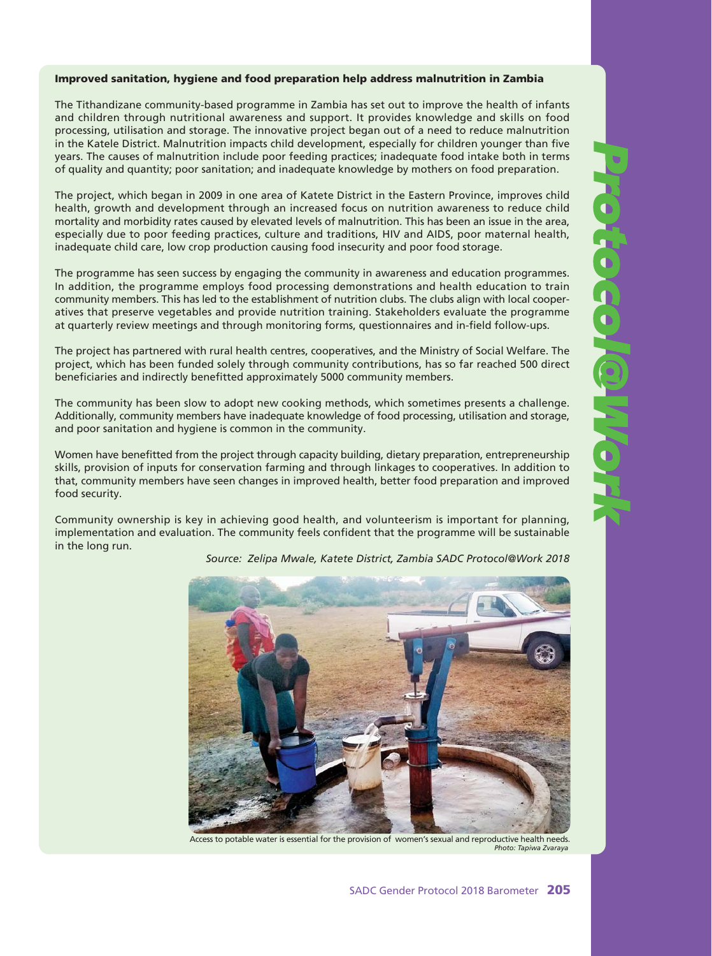#### **Improved sanitation, hygiene and food preparation help address malnutrition in Zambia**

The Tithandizane community-based programme in Zambia has set out to improve the health of infants and children through nutritional awareness and support. It provides knowledge and skills on food processing, utilisation and storage. The innovative project began out of a need to reduce malnutrition in the Katele District. Malnutrition impacts child development, especially for children younger than five years. The causes of malnutrition include poor feeding practices; inadequate food intake both in terms of quality and quantity; poor sanitation; and inadequate knowledge by mothers on food preparation.

The project, which began in 2009 in one area of Katete District in the Eastern Province, improves child health, growth and development through an increased focus on nutrition awareness to reduce child mortality and morbidity rates caused by elevated levels of malnutrition. This has been an issue in the area, especially due to poor feeding practices, culture and traditions, HIV and AIDS, poor maternal health, inadequate child care, low crop production causing food insecurity and poor food storage.

The programme has seen success by engaging the community in awareness and education programmes. In addition, the programme employs food processing demonstrations and health education to train community members. This has led to the establishment of nutrition clubs. The clubs align with local cooperatives that preserve vegetables and provide nutrition training. Stakeholders evaluate the programme at quarterly review meetings and through monitoring forms, questionnaires and in-field follow-ups.

The project has partnered with rural health centres, cooperatives, and the Ministry of Social Welfare. The project, which has been funded solely through community contributions, has so far reached 500 direct beneficiaries and indirectly benefitted approximately 5000 community members.

The community has been slow to adopt new cooking methods, which sometimes presents a challenge. Additionally, community members have inadequate knowledge of food processing, utilisation and storage, and poor sanitation and hygiene is common in the community.

Women have benefitted from the project through capacity building, dietary preparation, entrepreneurship skills, provision of inputs for conservation farming and through linkages to cooperatives. In addition to that, community members have seen changes in improved health, better food preparation and improved food security.

Community ownership is key in achieving good health, and volunteerism is important for planning, implementation and evaluation. The community feels confident that the programme will be sustainable in the long run.

*Source: Zelipa Mwale, Katete District, Zambia SADC Protocol@Work 2018*



Access to potable water is essential for the provision of women's sexual and reproductive health needs. *Photo: Tapiwa Zvaraya*